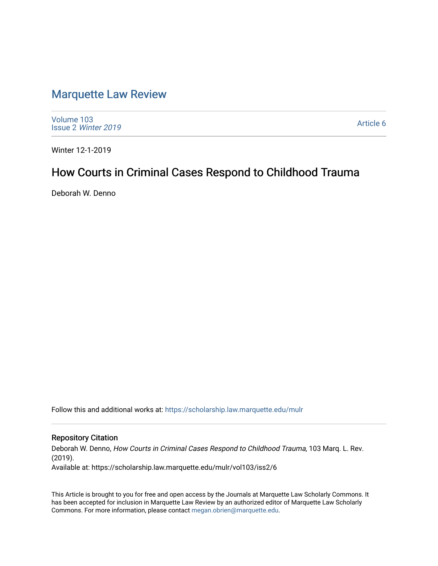# [Marquette Law Review](https://scholarship.law.marquette.edu/mulr)

[Volume 103](https://scholarship.law.marquette.edu/mulr/vol103) Issue 2 [Winter 2019](https://scholarship.law.marquette.edu/mulr/vol103/iss2) 

[Article 6](https://scholarship.law.marquette.edu/mulr/vol103/iss2/6) 

Winter 12-1-2019

# How Courts in Criminal Cases Respond to Childhood Trauma

Deborah W. Denno

Follow this and additional works at: [https://scholarship.law.marquette.edu/mulr](https://scholarship.law.marquette.edu/mulr?utm_source=scholarship.law.marquette.edu%2Fmulr%2Fvol103%2Fiss2%2F6&utm_medium=PDF&utm_campaign=PDFCoverPages) 

# Repository Citation

Deborah W. Denno, How Courts in Criminal Cases Respond to Childhood Trauma, 103 Marq. L. Rev. (2019). Available at: https://scholarship.law.marquette.edu/mulr/vol103/iss2/6

This Article is brought to you for free and open access by the Journals at Marquette Law Scholarly Commons. It has been accepted for inclusion in Marquette Law Review by an authorized editor of Marquette Law Scholarly Commons. For more information, please contact [megan.obrien@marquette.edu](mailto:megan.obrien@marquette.edu).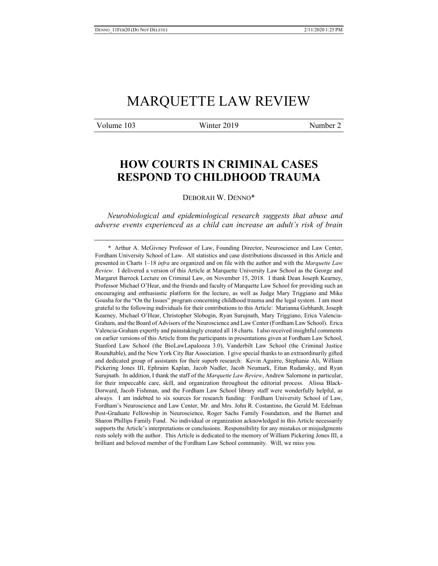# MARQUETTE LAW REVIEW

Volume 103 Winter 2019 Number 2

# **HOW COURTS IN CRIMINAL CASES RESPOND TO CHILDHOOD TRAUMA**

DEBORAH W. DENNO\*

*Neurobiological and epidemiological research suggests that abuse and adverse events experienced as a child can increase an adult's risk of brain* 

\* Arthur A. McGivney Professor of Law, Founding Director, Neuroscience and Law Center, Fordham University School of Law. All statistics and case distributions discussed in this Article and presented in Charts 1–18 *infra* are organized and on file with the author and with the *Marquette Law Review*. I delivered a version of this Article at Marquette University Law School as the George and Margaret Barrock Lecture on Criminal Law, on November 15, 2018. I thank Dean Joseph Kearney, Professor Michael O'Hear, and the friends and faculty of Marquette Law School for providing such an encouraging and enthusiastic platform for the lecture, as well as Judge Mary Triggiano and Mike Gousha for the "On the Issues" program concerning childhood trauma and the legal system. I am most grateful to the following individuals for their contributions to this Article: Marianna Gebhardt, Joseph Kearney, Michael O'Hear, Christopher Slobogin, Ryan Surujnath, Mary Triggiano, Erica Valencia-Graham, and the Board of Advisors of the Neuroscience and Law Center (Fordham Law School). Erica Valencia-Graham expertly and painstakingly created all 18 charts. I also received insightful comments on earlier versions of this Article from the participants in presentations given at Fordham Law School, Stanford Law School (the BioLawLapalooza 3.0), Vanderbilt Law School (the Criminal Justice Roundtable), and the New York City Bar Association. I give special thanks to an extraordinarily gifted and dedicated group of assistants for their superb research: Kevin Aguirre, Stephanie Ali, William Pickering Jones III, Ephraim Kaplan, Jacob Nadler, Jacob Neumark, Eitan Rudansky, and Ryan Surujnath. In addition, I thank the staff of the *Marquette Law Review*, Andrew Salomone in particular, for their impeccable care, skill, and organization throughout the editorial process. Alissa Black-Dorward, Jacob Fishman, and the Fordham Law School library staff were wonderfully helpful, as always. I am indebted to six sources for research funding: Fordham University School of Law, Fordham's Neuroscience and Law Center, Mr. and Mrs. John R. Costantino, the Gerald M. Edelman Post-Graduate Fellowship in Neuroscience, Roger Sachs Family Foundation, and the Barnet and Sharon Phillips Family Fund. No individual or organization acknowledged in this Article necessarily supports the Article's interpretations or conclusions. Responsibility for any mistakes or misjudgments rests solely with the author. This Article is dedicated to the memory of William Pickering Jones III, a brilliant and beloved member of the Fordham Law School community. Will, we miss you.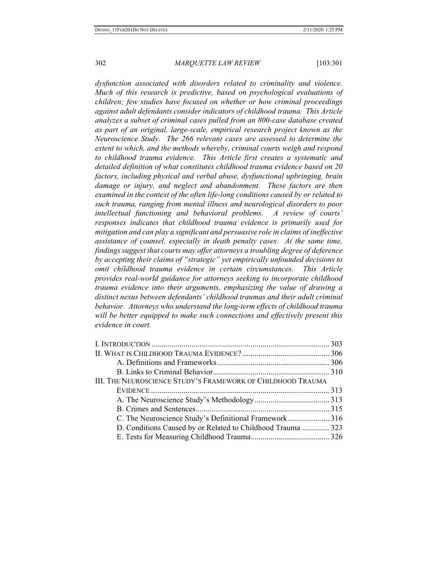*dysfunction associated with disorders related to criminality and violence. Much of this research is predictive, based on psychological evaluations of children; few studies have focused on whether or how criminal proceedings against adult defendants consider indicators of childhood trauma. This Article analyzes a subset of criminal cases pulled from an 800-case database created as part of an original, large-scale, empirical research project known as the Neuroscience Study. The 266 relevant cases are assessed to determine the extent to which, and the methods whereby, criminal courts weigh and respond to childhood trauma evidence. This Article first creates a systematic and detailed definition of what constitutes childhood trauma evidence based on 20 factors, including physical and verbal abuse, dysfunctional upbringing, brain damage or injury, and neglect and abandonment. These factors are then examined in the context of the often life-long conditions caused by or related to such trauma, ranging from mental illness and neurological disorders to poor intellectual functioning and behavioral problems. A review of courts' responses indicates that childhood trauma evidence is primarily used for mitigation and can play a significant and persuasive role in claims of ineffective assistance of counsel, especially in death penalty cases. At the same time, findings suggest that courts may offer attorneys a troubling degree of deference by accepting their claims of "strategic" yet empirically unfounded decisions to omit childhood trauma evidence in certain circumstances. This Article provides real-world guidance for attorneys seeking to incorporate childhood trauma evidence into their arguments, emphasizing the value of drawing a distinct nexus between defendants' childhood traumas and their adult criminal behavior. Attorneys who understand the long-term effects of childhood trauma will be better equipped to make such connections and effectively present this evidence in court.* 

| III. THE NEUROSCIENCE STUDY'S FRAMEWORK OF CHILDHOOD TRAUMA |  |
|-------------------------------------------------------------|--|
|                                                             |  |
|                                                             |  |
|                                                             |  |
| C. The Neuroscience Study's Definitional Framework316       |  |
| D. Conditions Caused by or Related to Childhood Trauma  323 |  |
|                                                             |  |
|                                                             |  |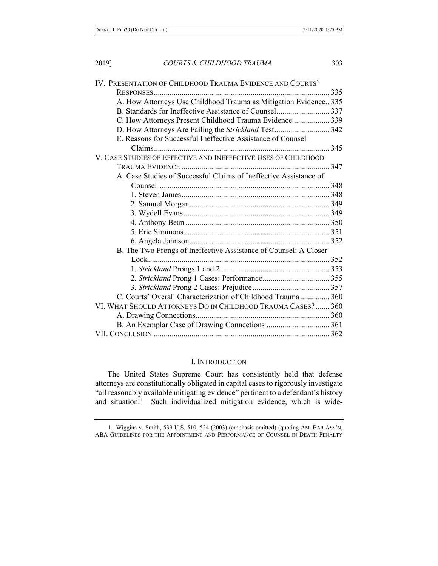| IV. PRESENTATION OF CHILDHOOD TRAUMA EVIDENCE AND COURTS'         |  |
|-------------------------------------------------------------------|--|
|                                                                   |  |
| A. How Attorneys Use Childhood Trauma as Mitigation Evidence 335  |  |
| B. Standards for Ineffective Assistance of Counsel 337            |  |
| C. How Attorneys Present Childhood Trauma Evidence  339           |  |
| D. How Attorneys Are Failing the Strickland Test 342              |  |
| E. Reasons for Successful Ineffective Assistance of Counsel       |  |
|                                                                   |  |
| V. CASE STUDIES OF EFFECTIVE AND INEFFECTIVE USES OF CHILDHOOD    |  |
|                                                                   |  |
| A. Case Studies of Successful Claims of Ineffective Assistance of |  |
|                                                                   |  |
|                                                                   |  |
|                                                                   |  |
|                                                                   |  |
|                                                                   |  |
|                                                                   |  |
|                                                                   |  |
| B. The Two Prongs of Ineffective Assistance of Counsel: A Closer  |  |
|                                                                   |  |
|                                                                   |  |
|                                                                   |  |
|                                                                   |  |
| C. Courts' Overall Characterization of Childhood Trauma 360       |  |
| VI. WHAT SHOULD ATTORNEYS DO IN CHILDHOOD TRAUMA CASES?  360      |  |
|                                                                   |  |
|                                                                   |  |
|                                                                   |  |

# I. INTRODUCTION

The United States Supreme Court has consistently held that defense attorneys are constitutionally obligated in capital cases to rigorously investigate "all reasonably available mitigating evidence" pertinent to a defendant's history and situation.<sup>1</sup> Such individualized mitigation evidence, which is wide-

<sup>1.</sup> Wiggins v. Smith, 539 U.S. 510, 524 (2003) (emphasis omitted) (quoting AM. BAR ASS'N, ABA GUIDELINES FOR THE APPOINTMENT AND PERFORMANCE OF COUNSEL IN DEATH PENALTY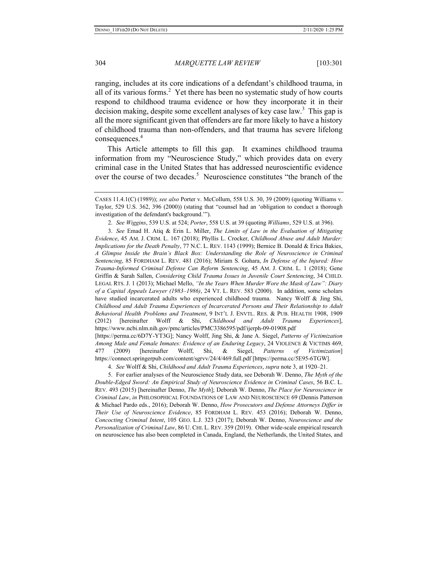ranging, includes at its core indications of a defendant's childhood trauma, in all of its various forms.<sup>2</sup> Yet there has been no systematic study of how courts respond to childhood trauma evidence or how they incorporate it in their decision making, despite some excellent analyses of key case law.<sup>3</sup> This gap is all the more significant given that offenders are far more likely to have a history of childhood trauma than non-offenders, and that trauma has severe lifelong consequences.<sup>4</sup>

This Article attempts to fill this gap. It examines childhood trauma information from my "Neuroscience Study," which provides data on every criminal case in the United States that has addressed neuroscientific evidence over the course of two decades.<sup>5</sup> Neuroscience constitutes "the branch of the

3. *See* Emad H. Atiq & Erin L. Miller, *The Limits of Law in the Evaluation of Mitigating Evidence*, 45 AM. J. CRIM. L. 167 (2018); Phyllis L. Crocker, *Childhood Abuse and Adult Murder: Implications for the Death Penalty*, 77 N.C. L. REV. 1143 (1999); Bernice B. Donald & Erica Bakies, *A Glimpse Inside the Brain's Black Box: Understanding the Role of Neuroscience in Criminal Sentencing*, 85 FORDHAM L. REV. 481 (2016); Miriam S. Gohara, *In Defense of the Injured: How Trauma-Informed Criminal Defense Can Reform Sentencing*, 45 AM. J. CRIM. L. 1 (2018); Gene Griffin & Sarah Sallen, *Considering Child Trauma Issues in Juvenile Court Sentencing*, 34 CHILD. LEGAL RTS. J. 1 (2013); Michael Mello, *"In the Years When Murder Wore the Mask of Law": Diary of a Capital Appeals Lawyer (1983–1986)*, 24 VT. L. REV. 583 (2000). In addition, some scholars have studied incarcerated adults who experienced childhood trauma. Nancy Wolff & Jing Shi, *Childhood and Adult Trauma Experiences of Incarcerated Persons and Their Relationship to Adult Behavioral Health Problems and Treatment*, 9 INT'L J. ENVTL. RES. & PUB. HEALTH 1908, 1909 (2012) [hereinafter Wolff & Shi, *Childhood and Adult Trauma Experiences*], https://www.ncbi.nlm.nih.gov/pmc/articles/PMC3386595/pdf/ijerph-09-01908.pdf

[https://perma.cc/6D7Y-YT3G]; Nancy Wolff, Jing Shi, & Jane A. Siegel, *Patterns of Victimization Among Male and Female Inmates: Evidence of an Enduring Legacy*, 24 VIOLENCE & VICTIMS 469, 477 (2009) [hereinafter Wolff, Shi, & Siegel, *Patterns of Victimization*] https://connect.springerpub.com/content/sgrvv/24/4/469.full.pdf [https://perma.cc/5E95-6TGW].

4. *See* Wolff & Shi, *Childhood and Adult Trauma Experiences*, *supra* note 3, at 1920–21.

5. For earlier analyses of the Neuroscience Study data, see Deborah W. Denno, *The Myth of the Double-Edged Sword: An Empirical Study of Neuroscience Evidence in Criminal Cases*, 56 B.C. L. REV. 493 (2015) [hereinafter Denno, *The Myth*]; Deborah W. Denno, *The Place for Neuroscience in Criminal Law*, *in* PHILOSOPHICAL FOUNDATIONS OF LAW AND NEUROSCIENCE 69 (Dennis Patterson & Michael Pardo eds., 2016); Deborah W. Denno, *How Prosecutors and Defense Attorneys Differ in Their Use of Neuroscience Evidence*, 85 FORDHAM L. REV. 453 (2016); Deborah W. Denno, *Concocting Criminal Intent*, 105 GEO. L.J. 323 (2017); Deborah W. Denno, *Neuroscience and the Personalization of Criminal Law*, 86 U. CHI. L. REV. 359 (2019). Other wide-scale empirical research on neuroscience has also been completed in Canada, England, the Netherlands, the United States, and

CASES 11.4.1(C) (1989)); *see also* Porter v. McCollum, 558 U.S. 30, 39 (2009) (quoting Williams v. Taylor, 529 U.S. 362, 396 (2000)) (stating that "counsel had an 'obligation to conduct a thorough investigation of the defendant's background.'").

<sup>2.</sup> *See Wiggins*, 539 U.S. at 524; *Porter*, 558 U.S. at 39 (quoting *Williams*, 529 U.S. at 396).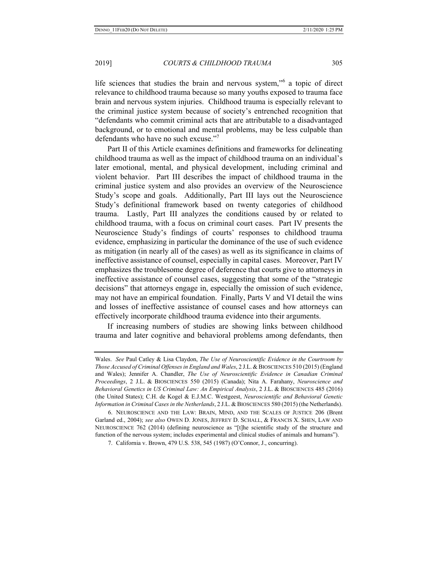life sciences that studies the brain and nervous system,"<sup>6</sup> a topic of direct relevance to childhood trauma because so many youths exposed to trauma face brain and nervous system injuries. Childhood trauma is especially relevant to the criminal justice system because of society's entrenched recognition that "defendants who commit criminal acts that are attributable to a disadvantaged background, or to emotional and mental problems, may be less culpable than defendants who have no such excuse."7

Part II of this Article examines definitions and frameworks for delineating childhood trauma as well as the impact of childhood trauma on an individual's later emotional, mental, and physical development, including criminal and violent behavior. Part III describes the impact of childhood trauma in the criminal justice system and also provides an overview of the Neuroscience Study's scope and goals. Additionally, Part III lays out the Neuroscience Study's definitional framework based on twenty categories of childhood trauma. Lastly, Part III analyzes the conditions caused by or related to childhood trauma, with a focus on criminal court cases. Part IV presents the Neuroscience Study's findings of courts' responses to childhood trauma evidence, emphasizing in particular the dominance of the use of such evidence as mitigation (in nearly all of the cases) as well as its significance in claims of ineffective assistance of counsel, especially in capital cases. Moreover, Part IV emphasizes the troublesome degree of deference that courts give to attorneys in ineffective assistance of counsel cases, suggesting that some of the "strategic decisions" that attorneys engage in, especially the omission of such evidence, may not have an empirical foundation. Finally, Parts V and VI detail the wins and losses of ineffective assistance of counsel cases and how attorneys can effectively incorporate childhood trauma evidence into their arguments.

If increasing numbers of studies are showing links between childhood trauma and later cognitive and behavioral problems among defendants, then

Wales. *See* Paul Catley & Lisa Claydon, *The Use of Neuroscientific Evidence in the Courtroom by Those Accused of Criminal Offenses in England and Wales*, 2 J.L.& BIOSCIENCES 510 (2015) (England and Wales); Jennifer A. Chandler, *The Use of Neuroscientific Evidence in Canadian Criminal Proceedings*, 2 J.L. & BIOSCIENCES 550 (2015) (Canada); Nita A. Farahany, *Neuroscience and Behavioral Genetics in US Criminal Law: An Empirical Analysis*, 2 J.L. & BIOSCIENCES 485 (2016) (the United States); C.H. de Kogel & E.J.M.C. Westgeest, *Neuroscientific and Behavioral Genetic Information in Criminal Cases in the Netherlands*, 2 J.L. & BIOSCIENCES 580 (2015) (the Netherlands).

<sup>6.</sup> NEUROSCIENCE AND THE LAW: BRAIN, MIND, AND THE SCALES OF JUSTICE 206 (Brent Garland ed., 2004); *see also* OWEN D. JONES, JEFFREY D. SCHALL, & FRANCIS X. SHEN, LAW AND NEUROSCIENCE 762 (2014) (defining neuroscience as "[t]he scientific study of the structure and function of the nervous system; includes experimental and clinical studies of animals and humans").

<sup>7.</sup> California v. Brown, 479 U.S. 538, 545 (1987) (O'Connor, J., concurring).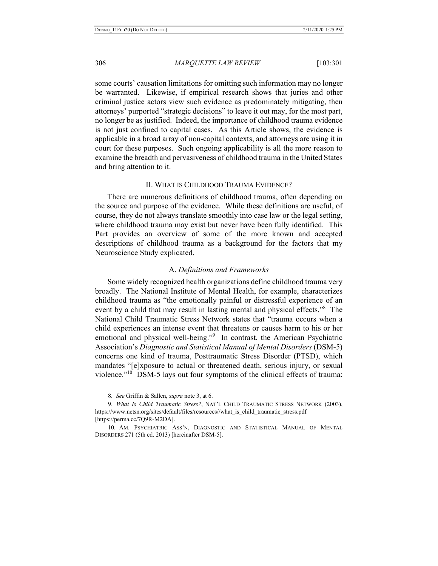some courts' causation limitations for omitting such information may no longer be warranted. Likewise, if empirical research shows that juries and other criminal justice actors view such evidence as predominately mitigating, then attorneys' purported "strategic decisions" to leave it out may, for the most part, no longer be as justified. Indeed, the importance of childhood trauma evidence is not just confined to capital cases. As this Article shows, the evidence is applicable in a broad array of non-capital contexts, and attorneys are using it in court for these purposes. Such ongoing applicability is all the more reason to examine the breadth and pervasiveness of childhood trauma in the United States and bring attention to it.

#### II. WHAT IS CHILDHOOD TRAUMA EVIDENCE?

There are numerous definitions of childhood trauma, often depending on the source and purpose of the evidence. While these definitions are useful, of course, they do not always translate smoothly into case law or the legal setting, where childhood trauma may exist but never have been fully identified. This Part provides an overview of some of the more known and accepted descriptions of childhood trauma as a background for the factors that my Neuroscience Study explicated.

# A. *Definitions and Frameworks*

Some widely recognized health organizations define childhood trauma very broadly. The National Institute of Mental Health, for example, characterizes childhood trauma as "the emotionally painful or distressful experience of an event by a child that may result in lasting mental and physical effects."<sup>8</sup> The National Child Traumatic Stress Network states that "trauma occurs when a child experiences an intense event that threatens or causes harm to his or her emotional and physical well-being."<sup>9</sup> In contrast, the American Psychiatric Association's *Diagnostic and Statistical Manual of Mental Disorders* (DSM-5) concerns one kind of trauma, Posttraumatic Stress Disorder (PTSD), which mandates "[e]xposure to actual or threatened death, serious injury, or sexual violence."<sup>10</sup> DSM-5 lays out four symptoms of the clinical effects of trauma:

<sup>8.</sup> *See* Griffin & Sallen, *supra* note 3, at 6.

<sup>9.</sup> *What Is Child Traumatic Stress?*, NAT'L CHILD TRAUMATIC STRESS NETWORK (2003), https://www.nctsn.org/sites/default/files/resources//what\_is\_child\_traumatic\_stress.pdf [https://perma.cc/7Q9R-M2DA].

<sup>10.</sup> AM. PSYCHIATRIC ASS'N, DIAGNOSTIC AND STATISTICAL MANUAL OF MENTAL DISORDERS 271 (5th ed. 2013) [hereinafter DSM-5].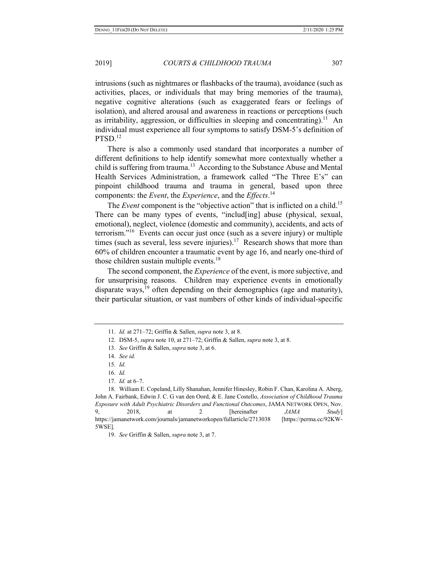intrusions (such as nightmares or flashbacks of the trauma), avoidance (such as activities, places, or individuals that may bring memories of the trauma), negative cognitive alterations (such as exaggerated fears or feelings of isolation), and altered arousal and awareness in reactions or perceptions (such as irritability, aggression, or difficulties in sleeping and concentrating).<sup>11</sup> An individual must experience all four symptoms to satisfy DSM-5's definition of PTSD.<sup>12</sup>

There is also a commonly used standard that incorporates a number of different definitions to help identify somewhat more contextually whether a child is suffering from trauma.<sup>13</sup> According to the Substance Abuse and Mental Health Services Administration, a framework called "The Three E's" can pinpoint childhood trauma and trauma in general, based upon three components: the *Event*, the *Experience*, and the *Effects*. 14

The *Event* component is the "objective action" that is inflicted on a child.<sup>15</sup> There can be many types of events, "includ[ing] abuse (physical, sexual, emotional), neglect, violence (domestic and community), accidents, and acts of terrorism."16 Events can occur just once (such as a severe injury) or multiple times (such as several, less severe injuries).<sup>17</sup> Research shows that more than 60% of children encounter a traumatic event by age 16, and nearly one-third of those children sustain multiple events.<sup>18</sup>

The second component, the *Experience* of the event, is more subjective, and for unsurprising reasons. Children may experience events in emotionally disparate ways,<sup>19</sup> often depending on their demographics (age and maturity), their particular situation, or vast numbers of other kinds of individual-specific

<sup>11.</sup> *Id.* at 271–72; Griffin & Sallen, *supra* note 3, at 8.

<sup>12.</sup> DSM-5, *supra* note 10, at 271–72; Griffin & Sallen, *supra* note 3, at 8.

<sup>13.</sup> *See* Griffin & Sallen, *supra* note 3, at 6.

<sup>14.</sup> *See id.*

<sup>15.</sup> *Id.* 

<sup>16.</sup> *Id.* 

<sup>17.</sup> *Id.* at 6–7.

<sup>18.</sup> William E. Copeland, Lilly Shanahan, Jennifer Hinesley, Robin F. Chan, Karolina A. Aberg, John A. Fairbank, Edwin J. C. G van den Oord, & E. Jane Costello, *Association of Childhood Trauma Exposure with Adult Psychiatric Disorders and Functional Outcomes*, JAMA NETWORK OPEN, Nov. 9, 2018, at 2 [hereinafter *JAMA Study*] https://jamanetwork.com/journals/jamanetworkopen/fullarticle/2713038 [https://perma.cc/92KW-5WSE].

<sup>19.</sup> *See* Griffin & Sallen, *supra* note 3, at 7.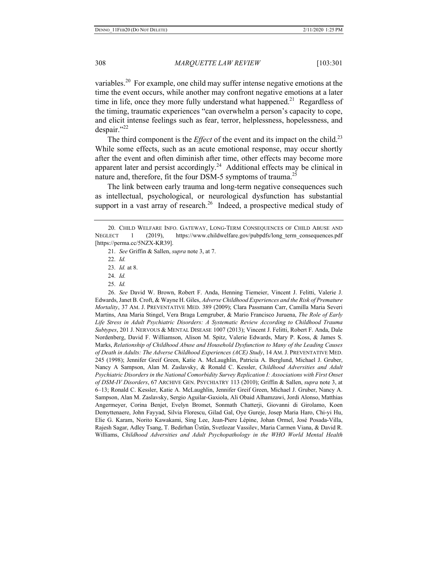variables.<sup>20</sup> For example, one child may suffer intense negative emotions at the time the event occurs, while another may confront negative emotions at a later time in life, once they more fully understand what happened.<sup>21</sup> Regardless of the timing, traumatic experiences "can overwhelm a person's capacity to cope, and elicit intense feelings such as fear, terror, helplessness, hopelessness, and despair."<sup>22</sup>

The third component is the *Effect* of the event and its impact on the child.<sup>23</sup> While some effects, such as an acute emotional response, may occur shortly after the event and often diminish after time, other effects may become more apparent later and persist accordingly.<sup>24</sup> Additional effects may be clinical in nature and, therefore, fit the four DSM-5 symptoms of trauma.<sup>25</sup>

The link between early trauma and long-term negative consequences such as intellectual, psychological, or neurological dysfunction has substantial support in a vast array of research.<sup>26</sup> Indeed, a prospective medical study of

21. *See* Griffin & Sallen, *supra* note 3, at 7.

26. *See* David W. Brown, Robert F. Anda, Henning Tiemeier, Vincent J. Felitti, Valerie J. Edwards, Janet B. Croft, & Wayne H. Giles, *Adverse Childhood Experiences and the Risk of Premature Mortality*, 37 AM. J. PREVENTATIVE MED. 389 (2009); Clara Passmann Carr, Camilla Maria Severi Martins, Ana Maria Stingel, Vera Braga Lemgruber, & Mario Francisco Juruena, *The Role of Early*  Life Stress in Adult Psychiatric Disorders: A Systematic Review According to Childhood Trauma *Subtypes*, 201 J. NERVOUS & MENTAL DISEASE 1007 (2013); Vincent J. Felitti, Robert F. Anda, Dale Nordenberg, David F. Williamson, Alison M. Spitz, Valerie Edwards, Mary P. Koss, & James S. Marks, *Relationship of Childhood Abuse and Household Dysfunction to Many of the Leading Causes of Death in Adults: The Adverse Childhood Experiences (ACE) Study*, 14 AM.J. PREVENTATIVE MED. 245 (1998); Jennifer Greif Green, Katie A. McLaughlin, Patricia A. Berglund, Michael J. Gruber, Nancy A Sampson, Alan M. Zaslavsky, & Ronald C. Kessler, *Childhood Adversities and Adult Psychiatric Disorders in the National Comorbidity Survey Replication I: Associations with First Onset of DSM-IV Disorders*, 67 ARCHIVE GEN. PSYCHIATRY 113 (2010); Griffin & Sallen, *supra* note 3, at 6–13; Ronald C. Kessler, Katie A. McLaughlin, Jennifer Greif Green, Michael J. Gruber, Nancy A. Sampson, Alan M. Zaslavsky, Sergio Aguilar-Gaxiola, Ali Obaid Alhamzawi, Jordi Alonso, Matthias Angermeyer, Corina Benjet, Evelyn Bromet, Sonmath Chatterji, Giovanni di Girolamo, Koen Demyttenaere, John Fayyad, Silvia Florescu, Gilad Gal, Oye Gureje, Josep Maria Haro, Chi-yi Hu, Elie G. Karam, Norito Kawakami, Sing Lee, Jean-Piere Lépine, Johan Ormel, José Posada-Villa, Rajesh Sagar, Adley Tsang, T. Bedirhan Üstün, Svetlozar Vassilev, Maria Carmen Viana, & David R. Williams, *Childhood Adversities and Adult Psychopathology in the WHO World Mental Health* 

<sup>20.</sup> CHILD WELFARE INFO. GATEWAY, LONG-TERM CONSEQUENCES OF CHILD ABUSE AND NEGLECT 1 (2019), https://www.childwelfare.gov/pubpdfs/long\_term\_consequences.pdf [https://perma.cc/5NZX-KR39].

<sup>22.</sup> *Id.* 

<sup>23.</sup> *Id.* at 8.

<sup>24.</sup> *Id.* 

<sup>25.</sup> *Id.*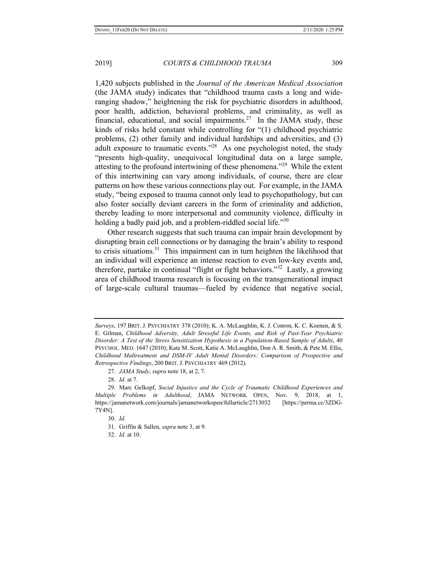1,420 subjects published in the *Journal of the American Medical Association* (the JAMA study) indicates that "childhood trauma casts a long and wideranging shadow," heightening the risk for psychiatric disorders in adulthood, poor health, addiction, behavioral problems, and criminality, as well as financial, educational, and social impairments.<sup>27</sup> In the JAMA study, these kinds of risks held constant while controlling for "(1) childhood psychiatric problems, (2) other family and individual hardships and adversities, and (3) adult exposure to traumatic events. $128$  As one psychologist noted, the study "presents high-quality, unequivocal longitudinal data on a large sample, attesting to the profound intertwining of these phenomena."<sup>29</sup> While the extent of this intertwining can vary among individuals, of course, there are clear patterns on how these various connections play out. For example, in the JAMA study, "being exposed to trauma cannot only lead to psychopathology, but can also foster socially deviant careers in the form of criminality and addiction, thereby leading to more interpersonal and community violence, difficulty in holding a badly paid job, and a problem-riddled social life."30

Other research suggests that such trauma can impair brain development by disrupting brain cell connections or by damaging the brain's ability to respond to crisis situations. $31$  This impairment can in turn heighten the likelihood that an individual will experience an intense reaction to even low-key events and, therefore, partake in continual "flight or fight behaviors."32 Lastly, a growing area of childhood trauma research is focusing on the transgenerational impact of large-scale cultural traumas—fueled by evidence that negative social,

*Surveys*, 197 BRIT. J. PSYCHIATRY 378 (2010); K. A. McLaughlin, K. J. Conron, K. C. Koenen, & S. E. Gilman, *Childhood Adversity, Adult Stressful Life Events, and Risk of Past-Year Psychiatric Disorder: A Test of the Stress Sensitization Hypothesis in a Population-Based Sample of Adults*, 40 PSYCHOL. MED. 1647 (2010); Kate M. Scott, Katie A. McLaughlin, Don A. R. Smith, & Pete M. Ellis, *Childhood Maltreatment and DSM-IV Adult Mental Disorders: Comparison of Prospective and Retrospective Findings*, 200 BRIT. J. PSYCHIATRY 469 (2012).

<sup>27.</sup> *JAMA Study*, *supra* note 18, at 2, 7.

<sup>28.</sup> *Id.* at 7.

<sup>29.</sup> Marc Gelkopf, *Social Injustice and the Cycle of Traumatic Childhood Experiences and Multiple Problems in Adulthood*, JAMA NETWORK OPEN, Nov. 9, 2018, at 1, https://jamanetwork.com/journals/jamanetworkopen/fullarticle/2713032 [https://perma.cc/3ZDG-7Y4N].

<sup>30.</sup> *Id.* 

<sup>31.</sup> Griffin & Sallen, *supra* note 3, at 9.

<sup>32.</sup> *Id.* at 10.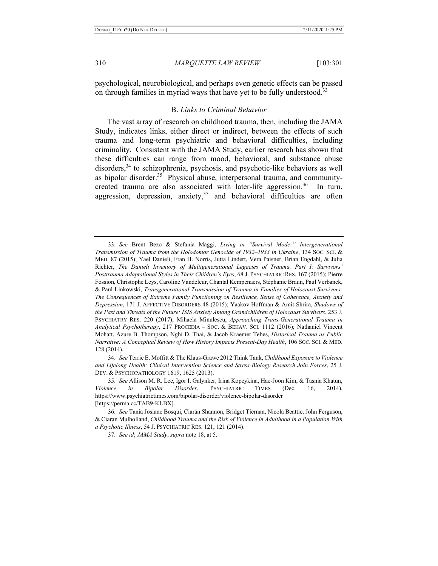psychological, neurobiological, and perhaps even genetic effects can be passed on through families in myriad ways that have yet to be fully understood.<sup>33</sup>

#### B. *Links to Criminal Behavior*

The vast array of research on childhood trauma, then, including the JAMA Study, indicates links, either direct or indirect, between the effects of such trauma and long-term psychiatric and behavioral difficulties, including criminality. Consistent with the JAMA Study, earlier research has shown that these difficulties can range from mood, behavioral, and substance abuse disorders,<sup>34</sup> to schizophrenia, psychosis, and psychotic-like behaviors as well as bipolar disorder.<sup>35</sup> Physical abuse, interpersonal trauma, and communitycreated trauma are also associated with later-life aggression.<sup>36</sup> In turn, aggression, depression, anxiety,  $37$  and behavioral difficulties are often

34. *See* Terrie E. Moffitt & The Klaus-Grawe 2012 Think Tank, *Childhood Exposure to Violence and Lifelong Health: Clinical Intervention Science and Stress-Biology Research Join Forces*, 25 J. DEV. & PSYCHOPATHOLOGY 1619, 1625 (2013).

35. *See* Allison M. R. Lee, Igor I. Galynker, Irina Kopeykina, Hae-Joon Kim, & Tasnia Khatun, *Violence in Bipolar Disorder*, PSYCHIATRIC TIMES (Dec. 16, 2014), https://www.psychiatrictimes.com/bipolar-disorder/violence-bipolar-disorder [https://perma.cc/TAB9-KLBX].

<sup>33.</sup> *See* Brent Bezo & Stefania Maggi, *Living in "Survival Mode:" Intergenerational Transmission of Trauma from the Holodomor Genocide of 1932–1933 in Ukraine*, 134 SOC. SCI. & MED. 87 (2015); Yael Danieli, Fran H. Norris, Jutta Lindert, Vera Paisner, Brian Engdahl, & Julia Richter, *The Danieli Inventory of Multigenerational Legacies of Trauma, Part I: Survivors' Posttrauma Adaptational Styles in Their Children's Eyes*, 68 J. PSYCHIATRIC RES. 167 (2015); Pierre Fossion, Christophe Leys, Caroline Vandeleur, Chantal Kempenaers, Stéphanie Braun, Paul Verbanck, & Paul Linkowski, *Transgenerational Transmission of Trauma in Families of Holocaust Survivors: The Consequences of Extreme Family Functioning on Resilience, Sense of Coherence, Anxiety and Depression*, 171 J. AFFECTIVE DISORDERS 48 (2015); Yaakov Hoffman & Amit Shrira, *Shadows of the Past and Threats of the Future: ISIS Anxiety Among Grandchildren of Holocaust Survivors*, 253 J. PSYCHIATRY RES. 220 (2017); Mihaela Minulescu, *Approaching Trans-Generational Trauma in Analytical Psychotherapy*, 217 PROCEDIA – SOC. & BEHAV. SCI. 1112 (2016); Nathaniel Vincent Mohatt, Azure B. Thompson, Nghi D. Thai, & Jacob Kraemer Tebes, *Historical Trauma as Public Narrative: A Conceptual Review of How History Impacts Present-Day Health*, 106 SOC. SCI. & MED. 128 (2014).

<sup>36.</sup> *See* Tania Josiane Bosqui, Ciarán Shannon, Bridget Tiernan, Nicola Beattie, John Ferguson, & Ciaran Mulholland, *Childhood Trauma and the Risk of Violence in Adulthood in a Population With a Psychotic Illness*, 54 J. PSYCHIATRIC RES. 121, 121 (2014).

<sup>37.</sup> *See id*; *JAMA Study*, *supra* note 18, at 5.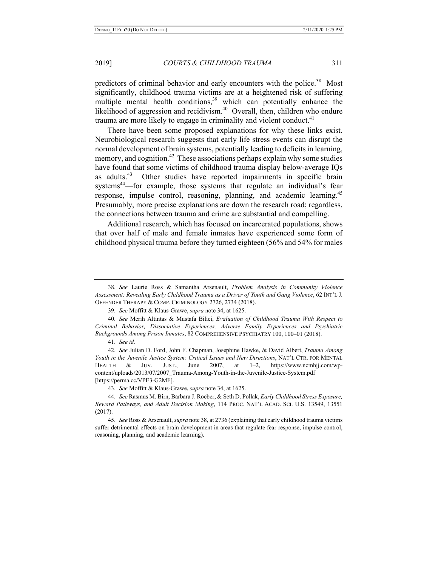predictors of criminal behavior and early encounters with the police.<sup>38</sup> Most significantly, childhood trauma victims are at a heightened risk of suffering multiple mental health conditions,<sup>39</sup> which can potentially enhance the likelihood of aggression and recidivism.<sup>40</sup> Overall, then, children who endure trauma are more likely to engage in criminality and violent conduct. $41$ 

There have been some proposed explanations for why these links exist. Neurobiological research suggests that early life stress events can disrupt the normal development of brain systems, potentially leading to deficits in learning, memory, and cognition.<sup>42</sup> These associations perhaps explain why some studies have found that some victims of childhood trauma display below-average IQs as adults.<sup>43</sup> Other studies have reported impairments in specific brain systems<sup>44</sup>—for example, those systems that regulate an individual's fear response, impulse control, reasoning, planning, and academic learning.<sup>45</sup> Presumably, more precise explanations are down the research road; regardless, the connections between trauma and crime are substantial and compelling.

Additional research, which has focused on incarcerated populations, shows that over half of male and female inmates have experienced some form of childhood physical trauma before they turned eighteen (56% and 54% for males

41. *See id.* 

42. *See* Julian D. Ford, John F. Chapman, Josephine Hawke, & David Albert, *Trauma Among Youth in the Juvenile Justice System: Critical Issues and New Directions*, NAT'L CTR. FOR MENTAL HEALTH & JUV. JUST., June 2007, at 1–2, https://www.ncmhjj.com/wpcontent/uploads/2013/07/2007\_Trauma-Among-Youth-in-the-Juvenile-Justice-System.pdf [https://perma.cc/VPE3-G2MF].

43. *See* Moffitt & Klaus-Grawe, *supra* note 34, at 1625.

<sup>38.</sup> *See* Laurie Ross & Samantha Arsenault, *Problem Analysis in Community Violence Assessment: Revealing Early Childhood Trauma as a Driver of Youth and Gang Violence*, 62 INT'L J. OFFENDER THERAPY & COMP. CRIMINOLOGY 2726, 2734 (2018).

<sup>39.</sup> *See* Moffitt & Klaus-Grawe, *supra* note 34, at 1625.

<sup>40.</sup> *See* Merih Altintas & Mustafa Bilici, *Evaluation of Childhood Trauma With Respect to Criminal Behavior, Dissociative Experiences, Adverse Family Experiences and Psychiatric Backgrounds Among Prison Inmates*, 82 COMPREHENSIVE PSYCHIATRY 100, 100–01 (2018).

<sup>44.</sup> *See* Rasmus M. Birn, Barbara J. Roeber, & Seth D. Pollak, *Early Childhood Stress Exposure, Reward Pathways, and Adult Decision Making*, 114 PROC. NAT'L ACAD. SCI. U.S. 13549, 13551 (2017).

<sup>45.</sup> *See* Ross & Arsenault, *supra* note 38, at 2736 (explaining that early childhood trauma victims suffer detrimental effects on brain development in areas that regulate fear response, impulse control, reasoning, planning, and academic learning).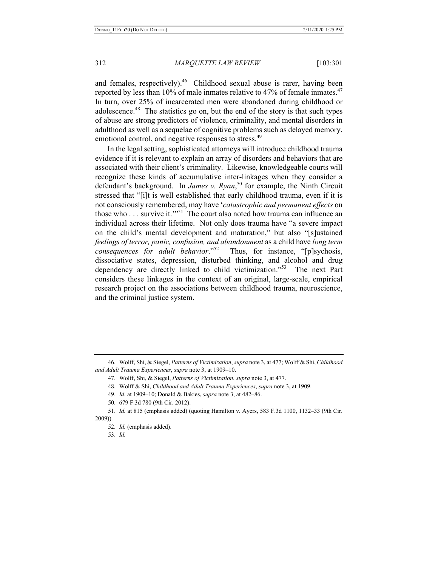and females, respectively).<sup>46</sup> Childhood sexual abuse is rarer, having been reported by less than 10% of male inmates relative to 47% of female inmates.<sup>47</sup> In turn, over 25% of incarcerated men were abandoned during childhood or adolescence.<sup>48</sup> The statistics go on, but the end of the story is that such types of abuse are strong predictors of violence, criminality, and mental disorders in adulthood as well as a sequelae of cognitive problems such as delayed memory, emotional control, and negative responses to stress.<sup>49</sup>

In the legal setting, sophisticated attorneys will introduce childhood trauma evidence if it is relevant to explain an array of disorders and behaviors that are associated with their client's criminality. Likewise, knowledgeable courts will recognize these kinds of accumulative inter-linkages when they consider a defendant's background. In *James v. Ryan*, 50 for example, the Ninth Circuit stressed that "[i]t is well established that early childhood trauma, even if it is not consciously remembered, may have '*catastrophic and permanent effects* on those who  $\dots$  survive it."<sup>51</sup> The court also noted how trauma can influence an individual across their lifetime. Not only does trauma have "a severe impact on the child's mental development and maturation," but also "[s]ustained *feelings of terror, panic, confusion, and abandonment* as a child have *long term consequences for adult behavior*."<sup>52</sup> Thus, for instance, "[p]sychosis, dissociative states, depression, disturbed thinking, and alcohol and drug dependency are directly linked to child victimization."53 The next Part considers these linkages in the context of an original, large-scale, empirical research project on the associations between childhood trauma, neuroscience, and the criminal justice system.

53. *Id.* 

<sup>46.</sup> Wolff, Shi, & Siegel, *Patterns of Victimization*, *supra* note 3, at 477; Wolff & Shi, *Childhood and Adult Trauma Experiences*, *supra* note 3, at 1909–10.

<sup>47.</sup> Wolff, Shi, & Siegel, *Patterns of Victimization*, *supra* note 3, at 477.

<sup>48.</sup> Wolff & Shi, *Childhood and Adult Trauma Experiences*, *supra* note 3, at 1909.

<sup>49.</sup> *Id.* at 1909–10; Donald & Bakies, *supra* note 3, at 482–86.

<sup>50. 679</sup> F.3d 780 (9th Cir. 2012).

<sup>51.</sup> *Id.* at 815 (emphasis added) (quoting Hamilton v. Ayers, 583 F.3d 1100, 1132–33 (9th Cir. 2009)).

<sup>52.</sup> *Id.* (emphasis added).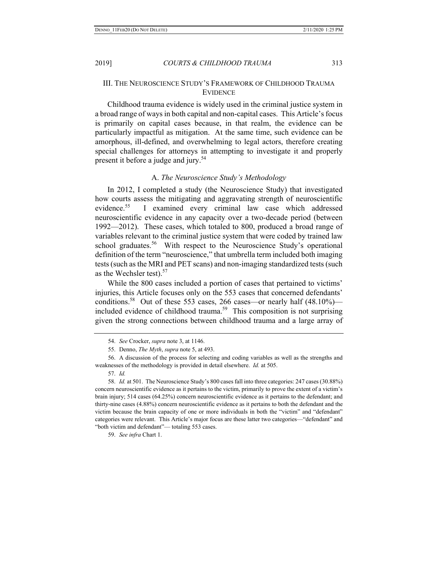# III. THE NEUROSCIENCE STUDY'S FRAMEWORK OF CHILDHOOD TRAUMA EVIDENCE

Childhood trauma evidence is widely used in the criminal justice system in a broad range of ways in both capital and non-capital cases. This Article's focus is primarily on capital cases because, in that realm, the evidence can be particularly impactful as mitigation. At the same time, such evidence can be amorphous, ill-defined, and overwhelming to legal actors, therefore creating special challenges for attorneys in attempting to investigate it and properly present it before a judge and jury.<sup>54</sup>

# A. *The Neuroscience Study's Methodology*

In 2012, I completed a study (the Neuroscience Study) that investigated how courts assess the mitigating and aggravating strength of neuroscientific evidence.<sup>55</sup> I examined every criminal law case which addressed neuroscientific evidence in any capacity over a two-decade period (between 1992—2012). These cases, which totaled to 800, produced a broad range of variables relevant to the criminal justice system that were coded by trained law school graduates.<sup>56</sup> With respect to the Neuroscience Study's operational definition of the term "neuroscience," that umbrella term included both imaging tests (such as the MRI and PET scans) and non-imaging standardized tests (such as the Wechsler test). $57$ 

While the 800 cases included a portion of cases that pertained to victims' injuries, this Article focuses only on the 553 cases that concerned defendants' conditions.<sup>58</sup> Out of these 553 cases, 266 cases—or nearly half  $(48.10\%)$  included evidence of childhood trauma.<sup>59</sup> This composition is not surprising given the strong connections between childhood trauma and a large array of

<sup>54.</sup> *See* Crocker, *supra* note 3, at 1146.

<sup>55.</sup> Denno, *The Myth*, *supra* note 5, at 493.

<sup>56.</sup> A discussion of the process for selecting and coding variables as well as the strengths and weaknesses of the methodology is provided in detail elsewhere. *Id.* at 505.

<sup>57.</sup> *Id.* 

<sup>58.</sup> *Id.* at 501. The Neuroscience Study's 800 cases fall into three categories: 247 cases (30.88%) concern neuroscientific evidence as it pertains to the victim, primarily to prove the extent of a victim's brain injury; 514 cases (64.25%) concern neuroscientific evidence as it pertains to the defendant; and thirty-nine cases (4.88%) concern neuroscientific evidence as it pertains to both the defendant and the victim because the brain capacity of one or more individuals in both the "victim" and "defendant" categories were relevant. This Article's major focus are these latter two categories—"defendant" and "both victim and defendant"— totaling 553 cases.

<sup>59.</sup> *See infra* Chart 1.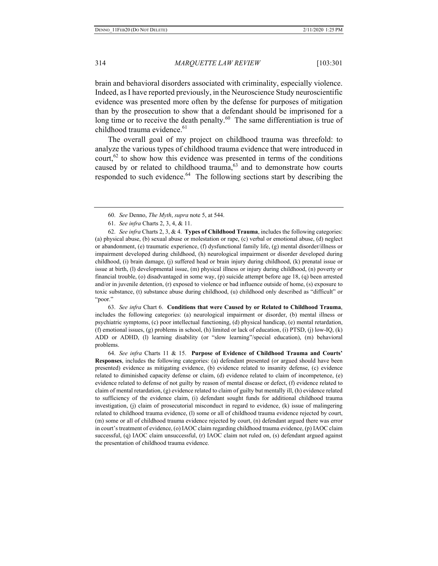brain and behavioral disorders associated with criminality, especially violence. Indeed, as I have reported previously, in the Neuroscience Study neuroscientific evidence was presented more often by the defense for purposes of mitigation than by the prosecution to show that a defendant should be imprisoned for a long time or to receive the death penalty. $60$  The same differentiation is true of childhood trauma evidence.<sup>61</sup>

The overall goal of my project on childhood trauma was threefold: to analyze the various types of childhood trauma evidence that were introduced in court, $62$  to show how this evidence was presented in terms of the conditions caused by or related to childhood trauma, $63$  and to demonstrate how courts responded to such evidence.<sup>64</sup> The following sections start by describing the

63. *See infra* Chart 6.**Conditions that were Caused by or Related to Childhood Trauma**, includes the following categories: (a) neurological impairment or disorder, (b) mental illness or psychiatric symptoms, (c) poor intellectual functioning, (d) physical handicap, (e) mental retardation, (f) emotional issues, (g) problems in school, (h) limited or lack of education, (i) PTSD, (j) low-IQ, (k) ADD or ADHD, (l) learning disability (or "slow learning"/special education), (m) behavioral problems.

64. *See infra* Charts 11 & 15. **Purpose of Evidence of Childhood Trauma and Courts' Responses**, includes the following categories: (a) defendant presented (or argued should have been presented) evidence as mitigating evidence, (b) evidence related to insanity defense, (c) evidence related to diminished capacity defense or claim, (d) evidence related to claim of incompetence, (e) evidence related to defense of not guilty by reason of mental disease or defect, (f) evidence related to claim of mental retardation, (g) evidence related to claim of guilty but mentally ill, (h) evidence related to sufficiency of the evidence claim, (i) defendant sought funds for additional childhood trauma investigation, (j) claim of prosecutorial misconduct in regard to evidence, (k) issue of malingering related to childhood trauma evidence, (l) some or all of childhood trauma evidence rejected by court, (m) some or all of childhood trauma evidence rejected by court, (n) defendant argued there was error in court's treatment of evidence, (o) IAOC claim regarding childhood trauma evidence, (p) IAOC claim successful, (q) IAOC claim unsuccessful, (r) IAOC claim not ruled on, (s) defendant argued against the presentation of childhood trauma evidence.

<sup>60.</sup> *See* Denno, *The Myth*, *supra* note 5, at 544.

<sup>61.</sup> *See infra* Charts 2, 3, 4, & 11.

<sup>62.</sup> *See infra* Charts 2, 3, & 4.**Types of Childhood Trauma**, includes the following categories: (a) physical abuse, (b) sexual abuse or molestation or rape, (c) verbal or emotional abuse, (d) neglect or abandonment, (e) traumatic experience, (f) dysfunctional family life, (g) mental disorder/illness or impairment developed during childhood, (h) neurological impairment or disorder developed during childhood, (i) brain damage, (j) suffered head or brain injury during childhood, (k) prenatal issue or issue at birth, (l) developmental issue, (m) physical illness or injury during childhood, (n) poverty or financial trouble, (o) disadvantaged in some way, (p) suicide attempt before age 18, (q) been arrested and/or in juvenile detention, (r) exposed to violence or bad influence outside of home, (s) exposure to toxic substance, (t) substance abuse during childhood, (u) childhood only described as "difficult" or "poor."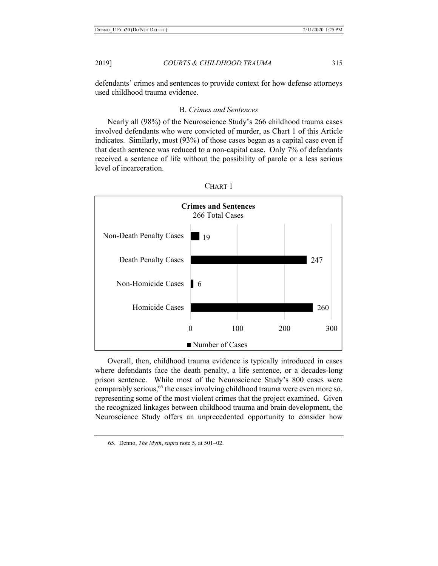defendants' crimes and sentences to provide context for how defense attorneys used childhood trauma evidence.

# B. *Crimes and Sentences*

Nearly all (98%) of the Neuroscience Study's 266 childhood trauma cases involved defendants who were convicted of murder, as Chart 1 of this Article indicates. Similarly, most (93%) of those cases began as a capital case even if that death sentence was reduced to a non-capital case. Only 7% of defendants received a sentence of life without the possibility of parole or a less serious level of incarceration.





Overall, then, childhood trauma evidence is typically introduced in cases where defendants face the death penalty, a life sentence, or a decades-long prison sentence. While most of the Neuroscience Study's 800 cases were comparably serious,<sup>65</sup> the cases involving childhood trauma were even more so, representing some of the most violent crimes that the project examined. Given the recognized linkages between childhood trauma and brain development, the Neuroscience Study offers an unprecedented opportunity to consider how

<sup>65.</sup> Denno, *The Myth*, *supra* note 5, at 501–02.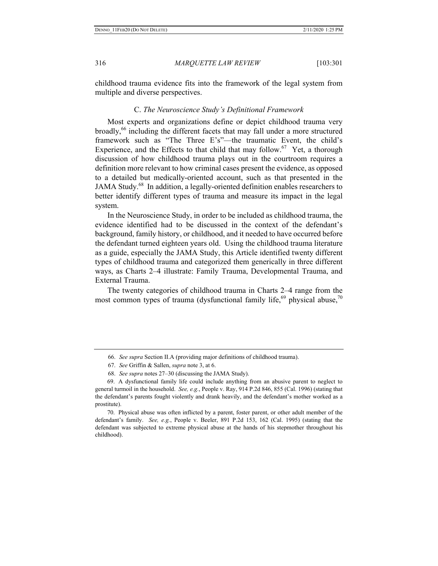childhood trauma evidence fits into the framework of the legal system from multiple and diverse perspectives.

# C. *The Neuroscience Study's Definitional Framework*

Most experts and organizations define or depict childhood trauma very broadly, $66$  including the different facets that may fall under a more structured framework such as "The Three E's"—the traumatic Event, the child's Experience, and the Effects to that child that may follow.<sup>67</sup> Yet, a thorough discussion of how childhood trauma plays out in the courtroom requires a definition more relevant to how criminal cases present the evidence, as opposed to a detailed but medically-oriented account, such as that presented in the JAMA Study.<sup>68</sup> In addition, a legally-oriented definition enables researchers to better identify different types of trauma and measure its impact in the legal system.

In the Neuroscience Study, in order to be included as childhood trauma, the evidence identified had to be discussed in the context of the defendant's background, family history, or childhood, and it needed to have occurred before the defendant turned eighteen years old. Using the childhood trauma literature as a guide, especially the JAMA Study, this Article identified twenty different types of childhood trauma and categorized them generically in three different ways, as Charts 2–4 illustrate: Family Trauma, Developmental Trauma, and External Trauma.

The twenty categories of childhood trauma in Charts 2–4 range from the most common types of trauma (dysfunctional family life, $69$  physical abuse, $70$ 

<sup>66.</sup> *See supra* Section II.A (providing major definitions of childhood trauma).

<sup>67.</sup> *See* Griffin & Sallen, *supra* note 3, at 6.

<sup>68.</sup> *See supra* notes 27–30 (discussing the JAMA Study).

<sup>69.</sup> A dysfunctional family life could include anything from an abusive parent to neglect to general turmoil in the household. *See, e.g.*, People v. Ray, 914 P.2d 846, 855 (Cal. 1996) (stating that the defendant's parents fought violently and drank heavily, and the defendant's mother worked as a prostitute).

<sup>70.</sup> Physical abuse was often inflicted by a parent, foster parent, or other adult member of the defendant's family. *See, e.g.*, People v. Beeler, 891 P.2d 153, 162 (Cal. 1995) (stating that the defendant was subjected to extreme physical abuse at the hands of his stepmother throughout his childhood).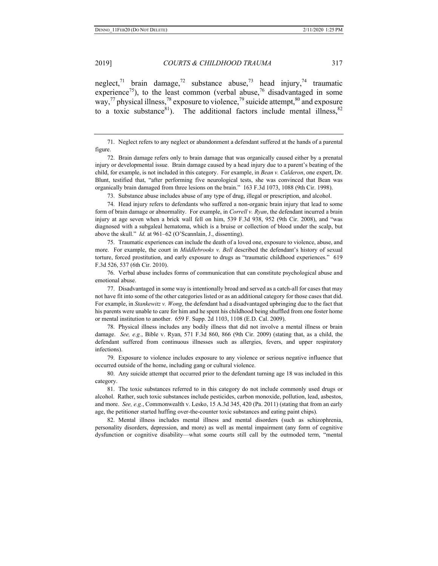neglect,<sup>71</sup> brain damage,<sup>72</sup> substance abuse,<sup>73</sup> head injury,<sup>74</sup> traumatic experience<sup>75</sup>), to the least common (verbal abuse,<sup>76</sup> disadvantaged in some way,<sup>77</sup> physical illness,<sup>78</sup> exposure to violence,<sup>79</sup> suicide attempt,<sup>80</sup> and exposure to a toxic substance<sup>81</sup>). The additional factors include mental illness,  $82$ 

73. Substance abuse includes abuse of any type of drug, illegal or prescription, and alcohol.

74. Head injury refers to defendants who suffered a non-organic brain injury that lead to some form of brain damage or abnormality. For example, in *Correll v. Ryan*, the defendant incurred a brain injury at age seven when a brick wall fell on him, 539 F.3d 938, 952 (9th Cir. 2008), and "was diagnosed with a subgaleal hematoma, which is a bruise or collection of blood under the scalp, but above the skull." *Id.* at 961–62 (O'Scannlain, J., dissenting).

75. Traumatic experiences can include the death of a loved one, exposure to violence, abuse, and more. For example, the court in *Middlebrooks v. Bell* described the defendant's history of sexual torture, forced prostitution, and early exposure to drugs as "traumatic childhood experiences." 619 F.3d 526, 537 (6th Cir. 2010).

76. Verbal abuse includes forms of communication that can constitute psychological abuse and emotional abuse.

77. Disadvantaged in some way is intentionally broad and served as a catch-all for cases that may not have fit into some of the other categories listed or as an additional category for those cases that did. For example, in *Stankewitz v. Wong*, the defendant had a disadvantaged upbringing due to the fact that his parents were unable to care for him and he spent his childhood being shuffled from one foster home or mental institution to another. 659 F. Supp. 2d 1103, 1108 (E.D. Cal. 2009).

78. Physical illness includes any bodily illness that did not involve a mental illness or brain damage. *See, e.g.*, Bible v. Ryan, 571 F.3d 860, 866 (9th Cir. 2009) (stating that, as a child, the defendant suffered from continuous illnesses such as allergies, fevers, and upper respiratory infections).

79. Exposure to violence includes exposure to any violence or serious negative influence that occurred outside of the home, including gang or cultural violence.

80. Any suicide attempt that occurred prior to the defendant turning age 18 was included in this category.

81. The toxic substances referred to in this category do not include commonly used drugs or alcohol. Rather, such toxic substances include pesticides, carbon monoxide, pollution, lead, asbestos, and more. *See, e.g.*, Commonwealth v. Lesko, 15 A.3d 345, 420 (Pa. 2011) (stating that from an early age, the petitioner started huffing over-the-counter toxic substances and eating paint chips).

82. Mental illness includes mental illness and mental disorders (such as schizophrenia, personality disorders, depression, and more) as well as mental impairment (any form of cognitive dysfunction or cognitive disability—what some courts still call by the outmoded term, "mental

<sup>71.</sup> Neglect refers to any neglect or abandonment a defendant suffered at the hands of a parental figure.

<sup>72.</sup> Brain damage refers only to brain damage that was organically caused either by a prenatal injury or developmental issue. Brain damage caused by a head injury due to a parent's beating of the child, for example, is not included in this category. For example, in *Bean v. Calderon*, one expert, Dr. Blunt, testified that, "after performing five neurological tests, she was convinced that Bean was organically brain damaged from three lesions on the brain." 163 F.3d 1073, 1088 (9th Cir. 1998).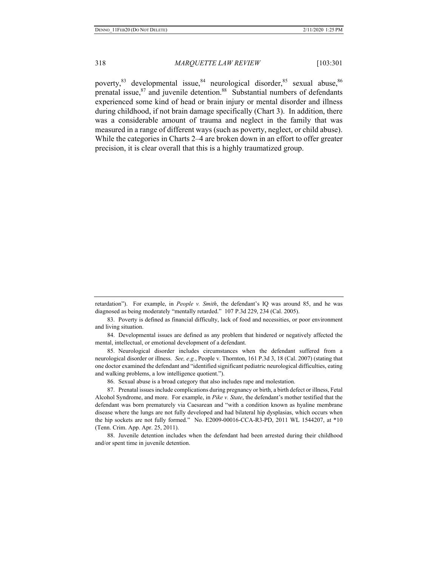poverty, <sup>83</sup> developmental issue, <sup>84</sup> neurological disorder, <sup>85</sup> sexual abuse, <sup>86</sup> prenatal issue,  $87$  and juvenile detention.<sup>88</sup> Substantial numbers of defendants experienced some kind of head or brain injury or mental disorder and illness during childhood, if not brain damage specifically (Chart 3). In addition, there was a considerable amount of trauma and neglect in the family that was measured in a range of different ways (such as poverty, neglect, or child abuse). While the categories in Charts 2–4 are broken down in an effort to offer greater precision, it is clear overall that this is a highly traumatized group.

83. Poverty is defined as financial difficulty, lack of food and necessities, or poor environment and living situation.

84. Developmental issues are defined as any problem that hindered or negatively affected the mental, intellectual, or emotional development of a defendant.

85. Neurological disorder includes circumstances when the defendant suffered from a neurological disorder or illness. *See, e.g.*, People v. Thornton, 161 P.3d 3, 18 (Cal. 2007) (stating that one doctor examined the defendant and "identified significant pediatric neurological difficulties, eating and walking problems, a low intelligence quotient.").

86. Sexual abuse is a broad category that also includes rape and molestation.

87. Prenatal issues include complications during pregnancy or birth, a birth defect or illness, Fetal Alcohol Syndrome, and more. For example, in *Pike v. State*, the defendant's mother testified that the defendant was born prematurely via Caesarean and "with a condition known as hyaline membrane disease where the lungs are not fully developed and had bilateral hip dysplasias, which occurs when the hip sockets are not fully formed." No. E2009-00016-CCA-R3-PD, 2011 WL 1544207, at \*10 (Tenn. Crim. App. Apr. 25, 2011).

88. Juvenile detention includes when the defendant had been arrested during their childhood and/or spent time in juvenile detention.

retardation"). For example, in *People v. Smith*, the defendant's IQ was around 85, and he was diagnosed as being moderately "mentally retarded." 107 P.3d 229, 234 (Cal. 2005).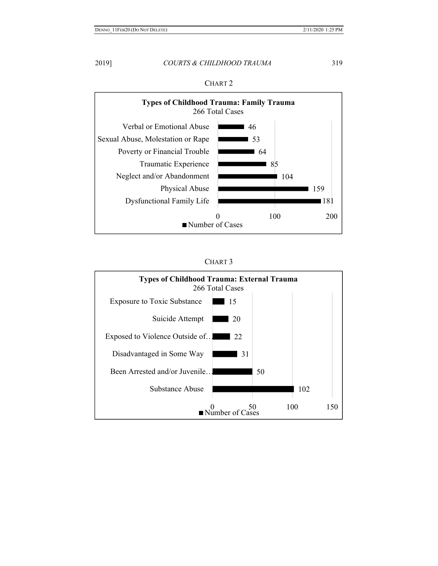

# CHART 2



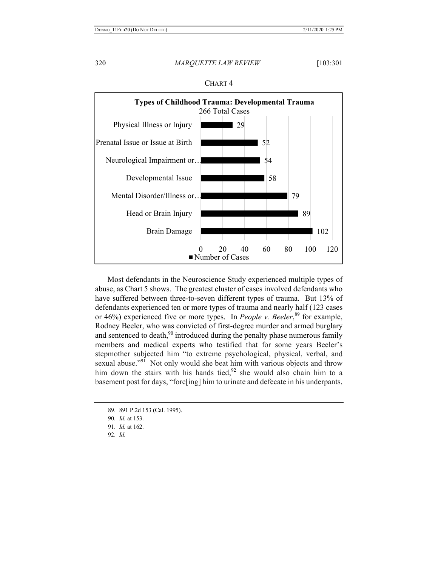

CHART 4

Most defendants in the Neuroscience Study experienced multiple types of abuse, as Chart 5 shows. The greatest cluster of cases involved defendants who have suffered between three-to-seven different types of trauma. But 13% of defendants experienced ten or more types of trauma and nearly half (123 cases or 46%) experienced five or more types. In *People v. Beeler*,<sup>89</sup> for example, Rodney Beeler, who was convicted of first-degree murder and armed burglary and sentenced to death, $90$  introduced during the penalty phase numerous family members and medical experts who testified that for some years Beeler's stepmother subjected him "to extreme psychological, physical, verbal, and sexual abuse."<sup>91</sup> Not only would she beat him with various objects and throw him down the stairs with his hands tied,  $92$  she would also chain him to a basement post for days, "forc[ing] him to urinate and defecate in his underpants,

- 90. *Id.* at 153.
- 91. *Id.* at 162.
- 92. *Id.*

<sup>89. 891</sup> P.2d 153 (Cal. 1995).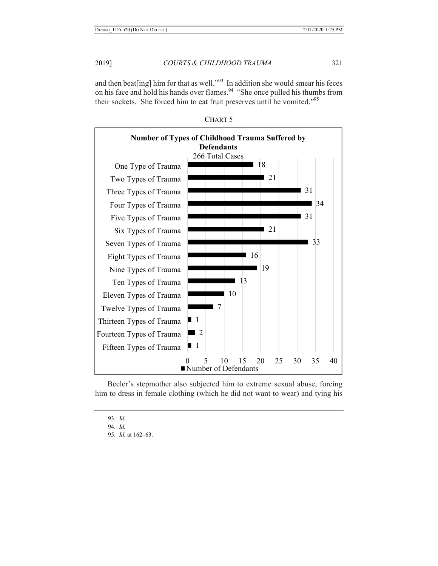and then beat [ing] him for that as well."<sup>93</sup> In addition she would smear his feces on his face and hold his hands over flames.<sup>94</sup> "She once pulled his thumbs from their sockets. She forced him to eat fruit preserves until he vomited."<sup>95</sup>



CHART 5

Beeler's stepmother also subjected him to extreme sexual abuse, forcing him to dress in female clothing (which he did not want to wear) and tying his

93. *Id.* 

94. *Id.* 

95. *Id.* at 162–63.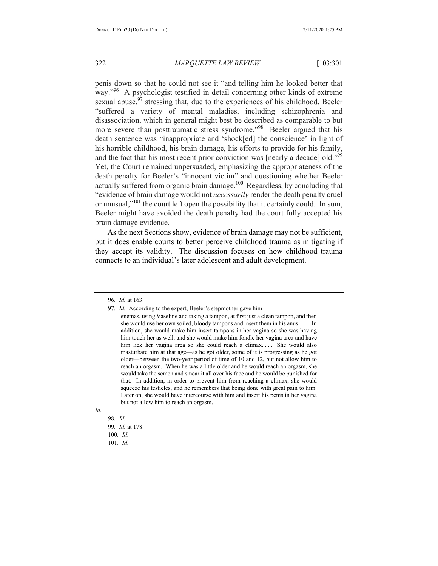penis down so that he could not see it "and telling him he looked better that way."<sup>96</sup> A psychologist testified in detail concerning other kinds of extreme sexual abuse, $97$  stressing that, due to the experiences of his childhood, Beeler "suffered a variety of mental maladies, including schizophrenia and disassociation, which in general might best be described as comparable to but more severe than posttraumatic stress syndrome."<sup>98</sup> Beeler argued that his death sentence was "inappropriate and 'shock[ed] the conscience' in light of his horrible childhood, his brain damage, his efforts to provide for his family, and the fact that his most recent prior conviction was [nearly a decade] old."<sup>99</sup> Yet, the Court remained unpersuaded, emphasizing the appropriateness of the death penalty for Beeler's "innocent victim" and questioning whether Beeler actually suffered from organic brain damage.<sup>100</sup> Regardless, by concluding that "evidence of brain damage would not *necessarily* render the death penalty cruel or unusual,"<sup>101</sup> the court left open the possibility that it certainly could. In sum, Beeler might have avoided the death penalty had the court fully accepted his brain damage evidence.

As the next Sections show, evidence of brain damage may not be sufficient, but it does enable courts to better perceive childhood trauma as mitigating if they accept its validity. The discussion focuses on how childhood trauma connects to an individual's later adolescent and adult development.

*Id.* 

98. *Id.*  99. *Id.* at 178. 100. *Id.*  101. *Id.*

<sup>96.</sup> *Id.* at 163.

<sup>97.</sup> *Id.* According to the expert, Beeler's stepmother gave him

enemas, using Vaseline and taking a tampon, at first just a clean tampon, and then she would use her own soiled, bloody tampons and insert them in his anus. . . . In addition, she would make him insert tampons in her vagina so she was having him touch her as well, and she would make him fondle her vagina area and have him lick her vagina area so she could reach a climax.... She would also masturbate him at that age—as he got older, some of it is progressing as he got older—between the two-year period of time of 10 and 12, but not allow him to reach an orgasm. When he was a little older and he would reach an orgasm, she would take the semen and smear it all over his face and he would be punished for that. In addition, in order to prevent him from reaching a climax, she would squeeze his testicles, and he remembers that being done with great pain to him. Later on, she would have intercourse with him and insert his penis in her vagina but not allow him to reach an orgasm.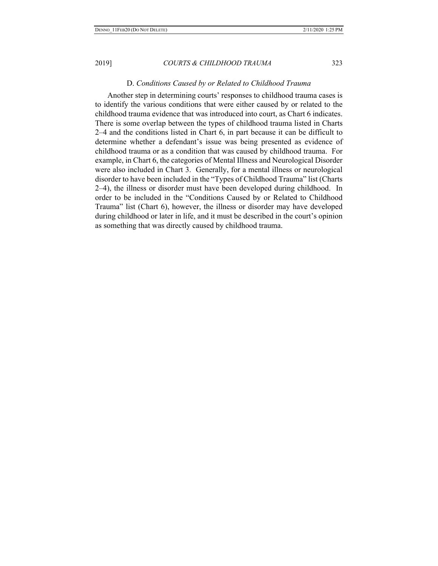Another step in determining courts' responses to childhood trauma cases is to identify the various conditions that were either caused by or related to the childhood trauma evidence that was introduced into court, as Chart 6 indicates. There is some overlap between the types of childhood trauma listed in Charts 2–4 and the conditions listed in Chart 6, in part because it can be difficult to determine whether a defendant's issue was being presented as evidence of childhood trauma or as a condition that was caused by childhood trauma. For example, in Chart 6, the categories of Mental Illness and Neurological Disorder were also included in Chart 3. Generally, for a mental illness or neurological disorder to have been included in the "Types of Childhood Trauma" list (Charts 2–4), the illness or disorder must have been developed during childhood. In order to be included in the "Conditions Caused by or Related to Childhood Trauma" list (Chart 6), however, the illness or disorder may have developed during childhood or later in life, and it must be described in the court's opinion as something that was directly caused by childhood trauma.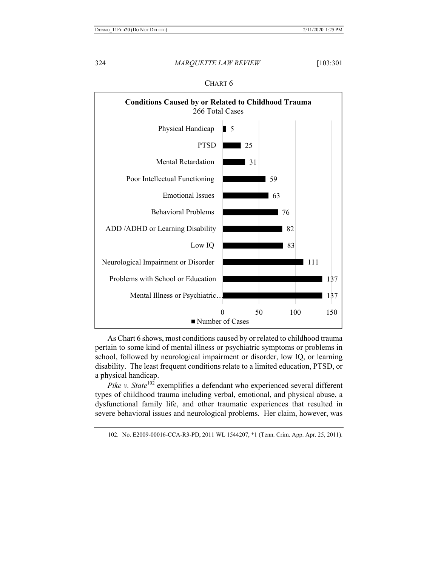

| IAR'<br>г |
|-----------|
|-----------|

As Chart 6 shows, most conditions caused by or related to childhood trauma pertain to some kind of mental illness or psychiatric symptoms or problems in school, followed by neurological impairment or disorder, low IQ, or learning disability. The least frequent conditions relate to a limited education, PTSD, or a physical handicap.

*Pike v. State*<sup>102</sup> exemplifies a defendant who experienced several different types of childhood trauma including verbal, emotional, and physical abuse, a dysfunctional family life, and other traumatic experiences that resulted in severe behavioral issues and neurological problems. Her claim, however, was

102. No. E2009-00016-CCA-R3-PD, 2011 WL 1544207, \*1 (Tenn. Crim. App. Apr. 25, 2011).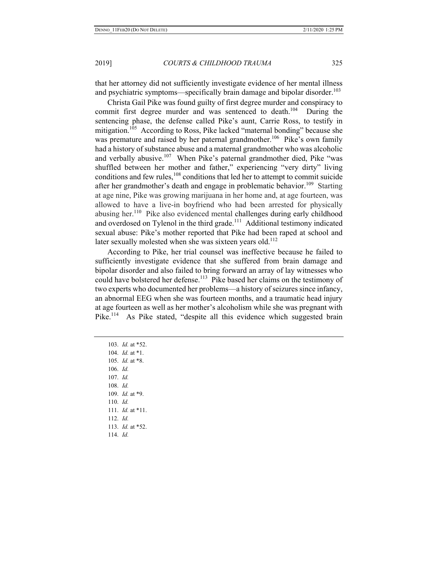that her attorney did not sufficiently investigate evidence of her mental illness and psychiatric symptoms—specifically brain damage and bipolar disorder.<sup>103</sup>

Christa Gail Pike was found guilty of first degree murder and conspiracy to commit first degree murder and was sentenced to death.<sup>104</sup> During the sentencing phase, the defense called Pike's aunt, Carrie Ross, to testify in mitigation.<sup>105</sup> According to Ross, Pike lacked "maternal bonding" because she was premature and raised by her paternal grandmother.<sup>106</sup> Pike's own family had a history of substance abuse and a maternal grandmother who was alcoholic and verbally abusive.<sup>107</sup> When Pike's paternal grandmother died, Pike "was shuffled between her mother and father," experiencing "very dirty" living conditions and few rules, $108$  conditions that led her to attempt to commit suicide after her grandmother's death and engage in problematic behavior.<sup>109</sup> Starting at age nine, Pike was growing marijuana in her home and, at age fourteen, was allowed to have a live-in boyfriend who had been arrested for physically abusing her.<sup>110</sup> Pike also evidenced mental challenges during early childhood and overdosed on Tylenol in the third grade.<sup>111</sup> Additional testimony indicated sexual abuse: Pike's mother reported that Pike had been raped at school and later sexually molested when she was sixteen years old.<sup>112</sup>

According to Pike, her trial counsel was ineffective because he failed to sufficiently investigate evidence that she suffered from brain damage and bipolar disorder and also failed to bring forward an array of lay witnesses who could have bolstered her defense.<sup>113</sup> Pike based her claims on the testimony of two experts who documented her problems—a history of seizures since infancy, an abnormal EEG when she was fourteen months, and a traumatic head injury at age fourteen as well as her mother's alcoholism while she was pregnant with Pike.<sup>114</sup> As Pike stated, "despite all this evidence which suggested brain

103. *Id.* at \*52. 104. *Id.* at \*1. 105. *Id.* at \*8. 106. *Id.*  107. *Id.*  108. *Id.* 109. *Id.* at \*9. 110. *Id.*  111. *Id.* at \*11. 112. *Id.* 113. *Id.* at \*52. 114. *Id.*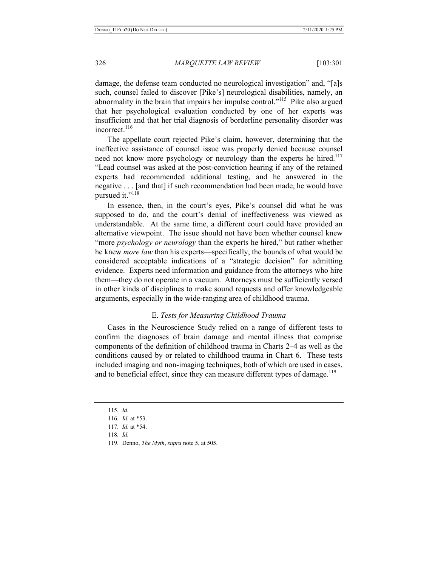damage, the defense team conducted no neurological investigation" and, "[a]s such, counsel failed to discover [Pike's] neurological disabilities, namely, an abnormality in the brain that impairs her impulse control."<sup>115</sup> Pike also argued that her psychological evaluation conducted by one of her experts was insufficient and that her trial diagnosis of borderline personality disorder was incorrect.<sup>116</sup>

The appellate court rejected Pike's claim, however, determining that the ineffective assistance of counsel issue was properly denied because counsel need not know more psychology or neurology than the experts he hired.<sup>117</sup> "Lead counsel was asked at the post-conviction hearing if any of the retained experts had recommended additional testing, and he answered in the negative . . . [and that] if such recommendation had been made, he would have pursued it."<sup>118</sup>

In essence, then, in the court's eyes, Pike's counsel did what he was supposed to do, and the court's denial of ineffectiveness was viewed as understandable. At the same time, a different court could have provided an alternative viewpoint. The issue should not have been whether counsel knew "more *psychology or neurology* than the experts he hired," but rather whether he knew *more law* than his experts—specifically, the bounds of what would be considered acceptable indications of a "strategic decision" for admitting evidence. Experts need information and guidance from the attorneys who hire them—they do not operate in a vacuum. Attorneys must be sufficiently versed in other kinds of disciplines to make sound requests and offer knowledgeable arguments, especially in the wide-ranging area of childhood trauma.

# E. *Tests for Measuring Childhood Trauma*

Cases in the Neuroscience Study relied on a range of different tests to confirm the diagnoses of brain damage and mental illness that comprise components of the definition of childhood trauma in Charts 2–4 as well as the conditions caused by or related to childhood trauma in Chart 6. These tests included imaging and non-imaging techniques, both of which are used in cases, and to beneficial effect, since they can measure different types of damage.<sup>119</sup>

- 118. *Id.*
- 119. Denno, *The Myth*, *supra* note 5, at 505.

<sup>115.</sup> *Id.* 

<sup>116.</sup> *Id.* at \*53.

<sup>117.</sup> *Id.* at \*54.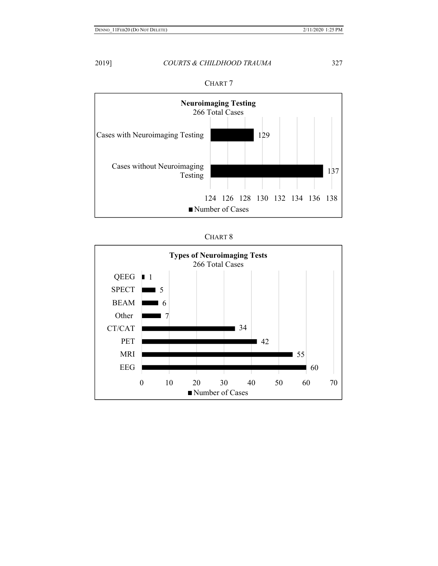



| ъ. |  |
|----|--|
|----|--|

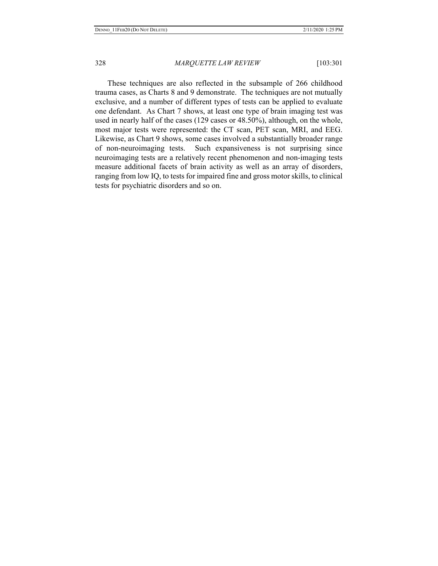These techniques are also reflected in the subsample of 266 childhood trauma cases, as Charts 8 and 9 demonstrate. The techniques are not mutually exclusive, and a number of different types of tests can be applied to evaluate one defendant. As Chart 7 shows, at least one type of brain imaging test was used in nearly half of the cases (129 cases or 48.50%), although, on the whole, most major tests were represented: the CT scan, PET scan, MRI, and EEG. Likewise, as Chart 9 shows, some cases involved a substantially broader range of non-neuroimaging tests. Such expansiveness is not surprising since neuroimaging tests are a relatively recent phenomenon and non-imaging tests measure additional facets of brain activity as well as an array of disorders, ranging from low IQ, to tests for impaired fine and gross motor skills, to clinical tests for psychiatric disorders and so on.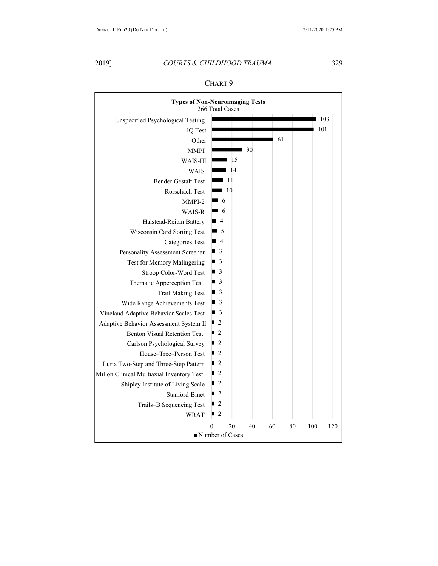| <b>Types of Non-Neuroimaging Tests</b>    | 266 Total Cases   |      |    |     |    |     |     |
|-------------------------------------------|-------------------|------|----|-----|----|-----|-----|
| Unspecified Psychological Testing         |                   |      |    |     |    |     | 103 |
| IQ Test                                   |                   |      |    |     |    | 101 |     |
| Other                                     |                   |      |    | -61 |    |     |     |
| <b>MMPI</b>                               |                   |      | 30 |     |    |     |     |
| WAIS-III                                  |                   | 15   |    |     |    |     |     |
| WAIS                                      |                   | -14  |    |     |    |     |     |
| <b>Bender Gestalt Test</b>                |                   | -11  |    |     |    |     |     |
| Rorschach Test                            |                   | - 10 |    |     |    |     |     |
| MMPI-2                                    | $\blacksquare$ 6  |      |    |     |    |     |     |
| WAIS-R                                    | $\blacksquare$ 6  |      |    |     |    |     |     |
| Halstead-Reitan Battery                   | $\blacksquare$ 4  |      |    |     |    |     |     |
| Wisconsin Card Sorting Test               | $\blacksquare$ 5  |      |    |     |    |     |     |
| <b>Categories Test</b>                    | $\blacksquare$ 4  |      |    |     |    |     |     |
| Personality Assessment Screener           | $\blacksquare$ 3  |      |    |     |    |     |     |
| Test for Memory Malingering               | $\blacksquare$ 3  |      |    |     |    |     |     |
| Stroop Color-Word Test                    | $\blacksquare$ 3  |      |    |     |    |     |     |
| Thematic Apperception Test                | $\blacksquare$ 3  |      |    |     |    |     |     |
| <b>Trail Making Test</b>                  | $\blacksquare$ 3  |      |    |     |    |     |     |
| Wide Range Achievements Test              | $\blacksquare$ 3  |      |    |     |    |     |     |
| Vineland Adaptive Behavior Scales Test    | $\blacksquare$ 3  |      |    |     |    |     |     |
| Adaptive Behavior Assessment System II    | $\overline{2}$    |      |    |     |    |     |     |
| <b>Benton Visual Retention Test</b>       | $\overline{2}$    |      |    |     |    |     |     |
| Carlson Psychological Survey              | $\blacksquare$ 2  |      |    |     |    |     |     |
| House–Tree–Person Test                    | $\blacksquare$ 2  |      |    |     |    |     |     |
| Luria Two-Step and Three-Step Pattern     | $\overline{2}$    |      |    |     |    |     |     |
| Millon Clinical Multiaxial Inventory Test | $\overline{2}$    |      |    |     |    |     |     |
| Shipley Institute of Living Scale         | $\overline{2}$    |      |    |     |    |     |     |
| Stanford-Binet                            | $\blacksquare$ 2  |      |    |     |    |     |     |
| Trails-B Sequencing Test                  | $\blacksquare$ 2  |      |    |     |    |     |     |
| <b>WRAT</b>                               | $\blacksquare$ 2  |      |    |     |    |     |     |
|                                           | 0                 | 20   | 40 | 60  | 80 | 100 | 120 |
|                                           | ■ Number of Cases |      |    |     |    |     |     |

| v<br>1 A |  |
|----------|--|
|----------|--|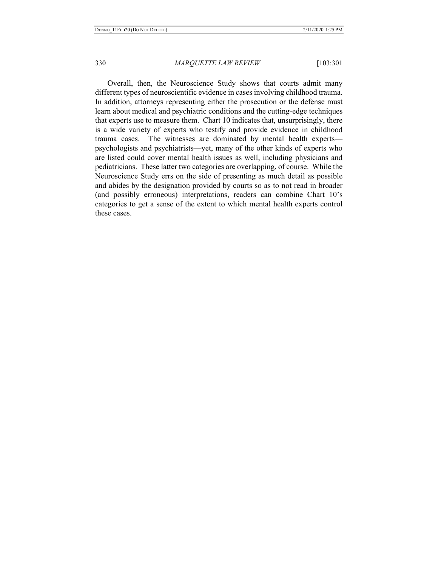Overall, then, the Neuroscience Study shows that courts admit many different types of neuroscientific evidence in cases involving childhood trauma. In addition, attorneys representing either the prosecution or the defense must learn about medical and psychiatric conditions and the cutting-edge techniques that experts use to measure them. Chart 10 indicates that, unsurprisingly, there is a wide variety of experts who testify and provide evidence in childhood trauma cases. The witnesses are dominated by mental health experts psychologists and psychiatrists—yet, many of the other kinds of experts who are listed could cover mental health issues as well, including physicians and pediatricians. These latter two categories are overlapping, of course. While the Neuroscience Study errs on the side of presenting as much detail as possible and abides by the designation provided by courts so as to not read in broader (and possibly erroneous) interpretations, readers can combine Chart 10's categories to get a sense of the extent to which mental health experts control these cases.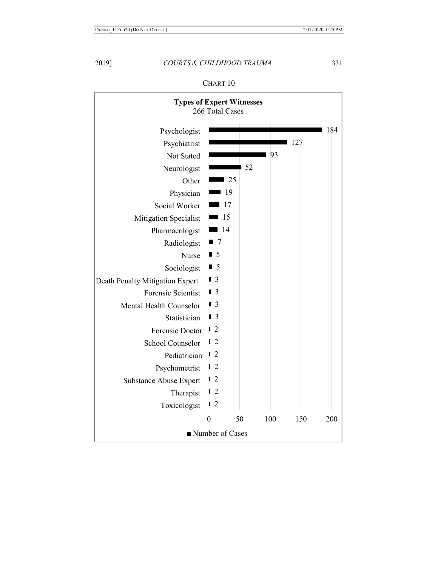

CHART 10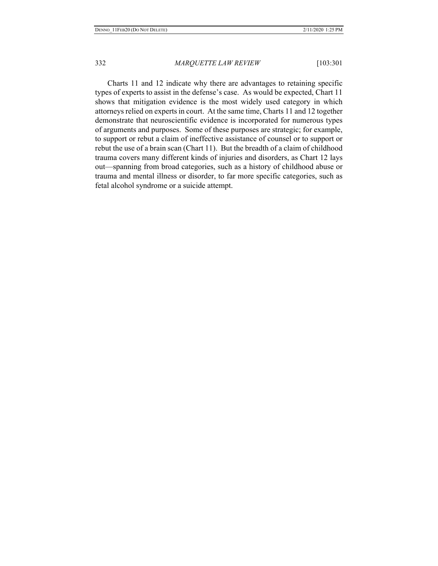Charts 11 and 12 indicate why there are advantages to retaining specific types of experts to assist in the defense's case. As would be expected, Chart 11 shows that mitigation evidence is the most widely used category in which attorneys relied on experts in court. At the same time, Charts 11 and 12 together demonstrate that neuroscientific evidence is incorporated for numerous types of arguments and purposes. Some of these purposes are strategic; for example, to support or rebut a claim of ineffective assistance of counsel or to support or rebut the use of a brain scan (Chart 11). But the breadth of a claim of childhood trauma covers many different kinds of injuries and disorders, as Chart 12 lays out—spanning from broad categories, such as a history of childhood abuse or trauma and mental illness or disorder, to far more specific categories, such as fetal alcohol syndrome or a suicide attempt.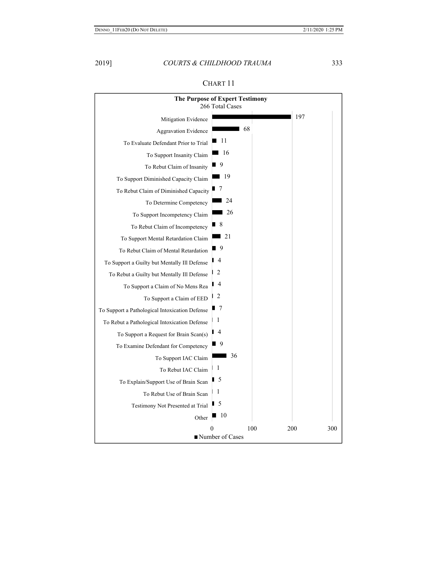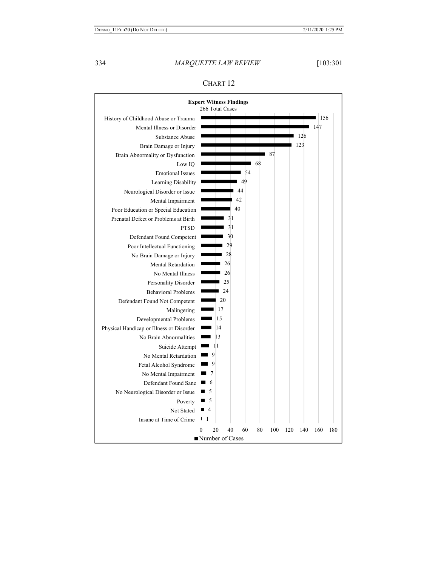

# CHART 12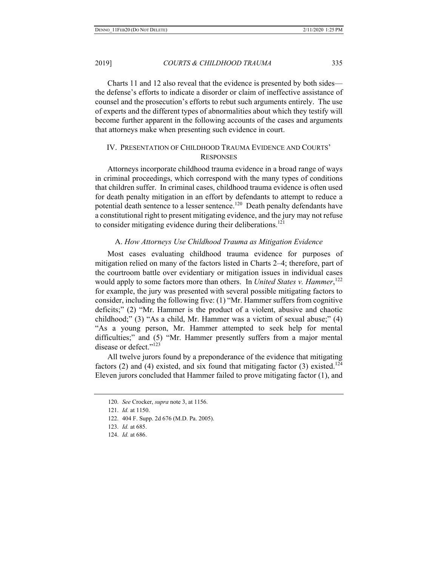Charts 11 and 12 also reveal that the evidence is presented by both sides the defense's efforts to indicate a disorder or claim of ineffective assistance of counsel and the prosecution's efforts to rebut such arguments entirely. The use of experts and the different types of abnormalities about which they testify will become further apparent in the following accounts of the cases and arguments that attorneys make when presenting such evidence in court.

# IV. PRESENTATION OF CHILDHOOD TRAUMA EVIDENCE AND COURTS' **RESPONSES**

Attorneys incorporate childhood trauma evidence in a broad range of ways in criminal proceedings, which correspond with the many types of conditions that children suffer. In criminal cases, childhood trauma evidence is often used for death penalty mitigation in an effort by defendants to attempt to reduce a potential death sentence to a lesser sentence.<sup>120</sup> Death penalty defendants have a constitutional right to present mitigating evidence, and the jury may not refuse to consider mitigating evidence during their deliberations.<sup>121</sup>

#### A. *How Attorneys Use Childhood Trauma as Mitigation Evidence*

Most cases evaluating childhood trauma evidence for purposes of mitigation relied on many of the factors listed in Charts 2–4; therefore, part of the courtroom battle over evidentiary or mitigation issues in individual cases would apply to some factors more than others. In *United States v. Hammer*,<sup>122</sup> for example, the jury was presented with several possible mitigating factors to consider, including the following five: (1) "Mr. Hammer suffers from cognitive deficits;" (2) "Mr. Hammer is the product of a violent, abusive and chaotic childhood;" (3) "As a child, Mr. Hammer was a victim of sexual abuse;" (4) "As a young person, Mr. Hammer attempted to seek help for mental difficulties;" and (5) "Mr. Hammer presently suffers from a major mental disease or defect."<sup>123</sup>

All twelve jurors found by a preponderance of the evidence that mitigating factors (2) and (4) existed, and six found that mitigating factor (3) existed.<sup>124</sup> Eleven jurors concluded that Hammer failed to prove mitigating factor (1), and

<sup>120.</sup> *See* Crocker, *supra* note 3, at 1156.

<sup>121.</sup> *Id.* at 1150.

<sup>122. 404</sup> F. Supp. 2d 676 (M.D. Pa. 2005).

<sup>123.</sup> *Id.* at 685.

<sup>124.</sup> *Id.* at 686.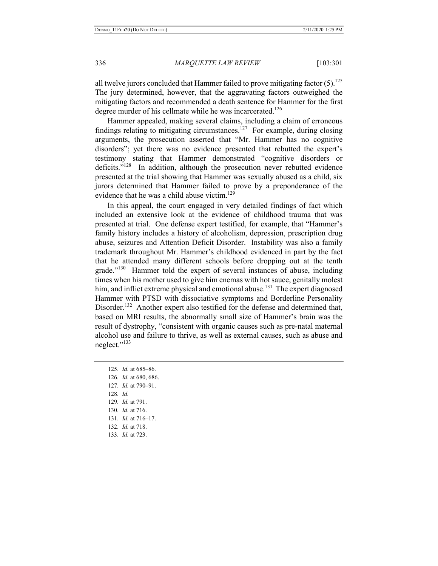all twelve jurors concluded that Hammer failed to prove mitigating factor  $(5)$ .<sup>125</sup> The jury determined, however, that the aggravating factors outweighed the mitigating factors and recommended a death sentence for Hammer for the first degree murder of his cellmate while he was incarcerated.<sup>126</sup>

Hammer appealed, making several claims, including a claim of erroneous findings relating to mitigating circumstances.<sup>127</sup> For example, during closing arguments, the prosecution asserted that "Mr. Hammer has no cognitive disorders"; yet there was no evidence presented that rebutted the expert's testimony stating that Hammer demonstrated "cognitive disorders or deficits."<sup>128</sup> In addition, although the prosecution never rebutted evidence presented at the trial showing that Hammer was sexually abused as a child, six jurors determined that Hammer failed to prove by a preponderance of the evidence that he was a child abuse victim.<sup>129</sup>

In this appeal, the court engaged in very detailed findings of fact which included an extensive look at the evidence of childhood trauma that was presented at trial. One defense expert testified, for example, that "Hammer's family history includes a history of alcoholism, depression, prescription drug abuse, seizures and Attention Deficit Disorder. Instability was also a family trademark throughout Mr. Hammer's childhood evidenced in part by the fact that he attended many different schools before dropping out at the tenth grade."130 Hammer told the expert of several instances of abuse, including times when his mother used to give him enemas with hot sauce, genitally molest him, and inflict extreme physical and emotional abuse.<sup>131</sup> The expert diagnosed Hammer with PTSD with dissociative symptoms and Borderline Personality Disorder.<sup>132</sup> Another expert also testified for the defense and determined that, based on MRI results, the abnormally small size of Hammer's brain was the result of dystrophy, "consistent with organic causes such as pre-natal maternal alcohol use and failure to thrive, as well as external causes, such as abuse and neglect."<sup>133</sup>

125. *Id.* at 685–86. 126. *Id.* at 680, 686. 127. *Id.* at 790–91. 128. *Id.*  129. *Id.* at 791. 130. *Id.* at 716. 131. *Id.* at 716–17. 132. *Id.* at 718. 133. *Id.* at 723.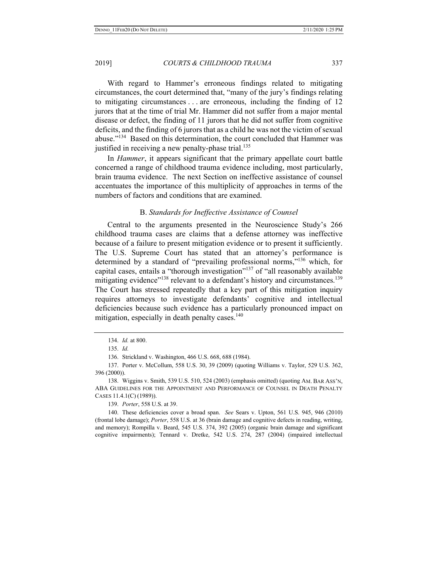With regard to Hammer's erroneous findings related to mitigating circumstances, the court determined that, "many of the jury's findings relating to mitigating circumstances . . . are erroneous, including the finding of 12 jurors that at the time of trial Mr. Hammer did not suffer from a major mental disease or defect, the finding of 11 jurors that he did not suffer from cognitive deficits, and the finding of 6 jurors that as a child he was not the victim of sexual abuse."<sup>134</sup> Based on this determination, the court concluded that Hammer was justified in receiving a new penalty-phase trial.<sup>135</sup>

In *Hammer*, it appears significant that the primary appellate court battle concerned a range of childhood trauma evidence including, most particularly, brain trauma evidence. The next Section on ineffective assistance of counsel accentuates the importance of this multiplicity of approaches in terms of the numbers of factors and conditions that are examined.

# B. *Standards for Ineffective Assistance of Counsel*

Central to the arguments presented in the Neuroscience Study's 266 childhood trauma cases are claims that a defense attorney was ineffective because of a failure to present mitigation evidence or to present it sufficiently. The U.S. Supreme Court has stated that an attorney's performance is determined by a standard of "prevailing professional norms,"136 which, for capital cases, entails a "thorough investigation"<sup>137</sup> of "all reasonably available mitigating evidence<sup>"138</sup> relevant to a defendant's history and circumstances.<sup>139</sup> The Court has stressed repeatedly that a key part of this mitigation inquiry requires attorneys to investigate defendants' cognitive and intellectual deficiencies because such evidence has a particularly pronounced impact on mitigation, especially in death penalty cases. $140$ 

139. *Porter*, 558 U.S. at 39.

140. These deficiencies cover a broad span. *See* Sears v. Upton, 561 U.S. 945, 946 (2010) (frontal lobe damage); *Porter*, 558 U.S. at 36 (brain damage and cognitive defects in reading, writing, and memory); Rompilla v. Beard, 545 U.S. 374, 392 (2005) (organic brain damage and significant cognitive impairments); Tennard v. Dretke, 542 U.S. 274, 287 (2004) (impaired intellectual

<sup>134.</sup> *Id.* at 800.

<sup>135.</sup> *Id.* 

<sup>136.</sup> Strickland v. Washington, 466 U.S. 668, 688 (1984).

<sup>137.</sup> Porter v. McCollum, 558 U.S. 30, 39 (2009) (quoting Williams v. Taylor, 529 U.S. 362, 396 (2000)).

<sup>138.</sup> Wiggins v. Smith, 539 U.S. 510, 524 (2003) (emphasis omitted) (quoting AM. BAR ASS'N, ABA GUIDELINES FOR THE APPOINTMENT AND PERFORMANCE OF COUNSEL IN DEATH PENALTY CASES 11.4.1(C) (1989)).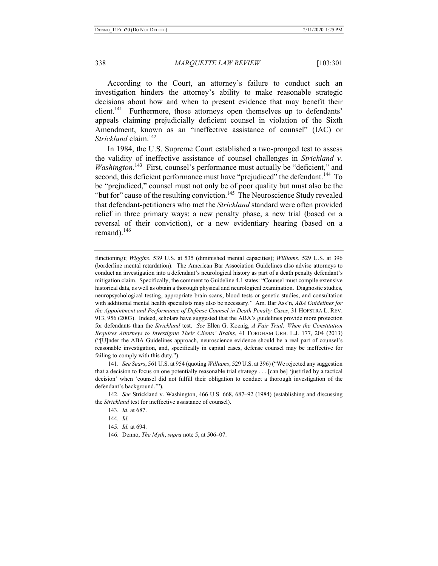According to the Court, an attorney's failure to conduct such an investigation hinders the attorney's ability to make reasonable strategic decisions about how and when to present evidence that may benefit their client.<sup>141</sup> Furthermore, those attorneys open themselves up to defendants' appeals claiming prejudicially deficient counsel in violation of the Sixth Amendment, known as an "ineffective assistance of counsel" (IAC) or *Strickland* claim.<sup>142</sup>

In 1984, the U.S. Supreme Court established a two-pronged test to assess the validity of ineffective assistance of counsel challenges in *Strickland v. Washington*.<sup>143</sup> First, counsel's performance must actually be "deficient," and second, this deficient performance must have "prejudiced" the defendant.<sup>144</sup> To be "prejudiced," counsel must not only be of poor quality but must also be the "but for" cause of the resulting conviction.<sup>145</sup> The Neuroscience Study revealed that defendant-petitioners who met the *Strickland* standard were often provided relief in three primary ways: a new penalty phase, a new trial (based on a reversal of their conviction), or a new evidentiary hearing (based on a remand). $146$ 

141. *See Sears*, 561 U.S. at 954 (quoting *Williams*, 529 U.S. at 396) ("We rejected any suggestion that a decision to focus on one potentially reasonable trial strategy . . . [can be] 'justified by a tactical decision' when 'counsel did not fulfill their obligation to conduct a thorough investigation of the defendant's background.'").

142. *See* Strickland v. Washington, 466 U.S. 668, 687–92 (1984) (establishing and discussing the *Strickland* test for ineffective assistance of counsel).

- 145. *Id.* at 694.
- 146. Denno, *The Myth*, *supra* note 5, at 506–07.

functioning); *Wiggins*, 539 U.S. at 535 (diminished mental capacities); *Williams*, 529 U.S. at 396 (borderline mental retardation). The American Bar Association Guidelines also advise attorneys to conduct an investigation into a defendant's neurological history as part of a death penalty defendant's mitigation claim. Specifically, the comment to Guideline 4.1 states: "Counsel must compile extensive historical data, as well as obtain a thorough physical and neurological examination. Diagnostic studies, neuropsychological testing, appropriate brain scans, blood tests or genetic studies, and consultation with additional mental health specialists may also be necessary." Am. Bar Ass'n, *ABA Guidelines for the Appointment and Performance of Defense Counsel in Death Penalty Cases*, 31 HOFSTRA L. REV. 913, 956 (2003). Indeed, scholars have suggested that the ABA's guidelines provide more protection for defendants than the *Strickland* test. *See* Ellen G. Koenig, *A Fair Trial: When the Constitution Requires Attorneys to Investigate Their Clients' Brains*, 41 FORDHAM URB. L.J. 177, 204 (2013) ("[U]nder the ABA Guidelines approach, neuroscience evidence should be a real part of counsel's reasonable investigation, and, specifically in capital cases, defense counsel may be ineffective for failing to comply with this duty.").

<sup>143.</sup> *Id.* at 687.

<sup>144.</sup> *Id.*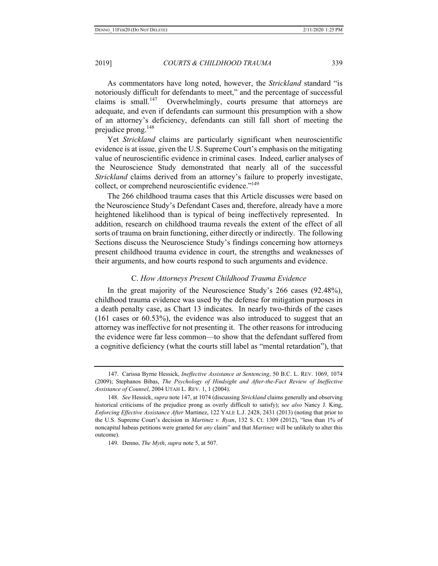As commentators have long noted, however, the *Strickland* standard "is notoriously difficult for defendants to meet," and the percentage of successful claims is small.<sup>147</sup> Overwhelmingly, courts presume that attorneys are adequate, and even if defendants can surmount this presumption with a show of an attorney's deficiency, defendants can still fall short of meeting the prejudice prong.<sup>148</sup>

Yet *Strickland* claims are particularly significant when neuroscientific evidence is at issue, given the U.S. Supreme Court's emphasis on the mitigating value of neuroscientific evidence in criminal cases. Indeed, earlier analyses of the Neuroscience Study demonstrated that nearly all of the successful *Strickland* claims derived from an attorney's failure to properly investigate, collect, or comprehend neuroscientific evidence."<sup>149</sup>

The 266 childhood trauma cases that this Article discusses were based on the Neuroscience Study's Defendant Cases and, therefore, already have a more heightened likelihood than is typical of being ineffectively represented. In addition, research on childhood trauma reveals the extent of the effect of all sorts of trauma on brain functioning, either directly or indirectly. The following Sections discuss the Neuroscience Study's findings concerning how attorneys present childhood trauma evidence in court, the strengths and weaknesses of their arguments, and how courts respond to such arguments and evidence.

# C. *How Attorneys Present Childhood Trauma Evidence*

In the great majority of the Neuroscience Study's 266 cases (92.48%), childhood trauma evidence was used by the defense for mitigation purposes in a death penalty case, as Chart 13 indicates. In nearly two-thirds of the cases (161 cases or 60.53%), the evidence was also introduced to suggest that an attorney was ineffective for not presenting it. The other reasons for introducing the evidence were far less common—to show that the defendant suffered from a cognitive deficiency (what the courts still label as "mental retardation"), that

<sup>147.</sup> Carissa Byrne Hessick, *Ineffective Assistance at Sentencing*, 50 B.C. L. REV. 1069, 1074 (2009); Stephanos Bibas, *The Psychology of Hindsight and After-the-Fact Review of Ineffective Assistance of Counsel*, 2004 UTAH L. REV. 1, 1 (2004).

<sup>148.</sup> *See* Hessick, *supra* note 147, at 1074 (discussing *Strickland* claims generally and observing historical criticisms of the prejudice prong as overly difficult to satisfy); s*ee also* Nancy J. King, *Enforcing Effective Assistance After* Martinez, 122 YALE L.J. 2428, 2431 (2013) (noting that prior to the U.S. Supreme Court's decision in *Martinez v. Ryan*, 132 S. Ct. 1309 (2012), "less than 1% of noncapital habeas petitions were granted for *any* claim" and that *Martinez* will be unlikely to alter this outcome).

<sup>149.</sup> Denno, *The Myth*, *supra* note 5, at 507.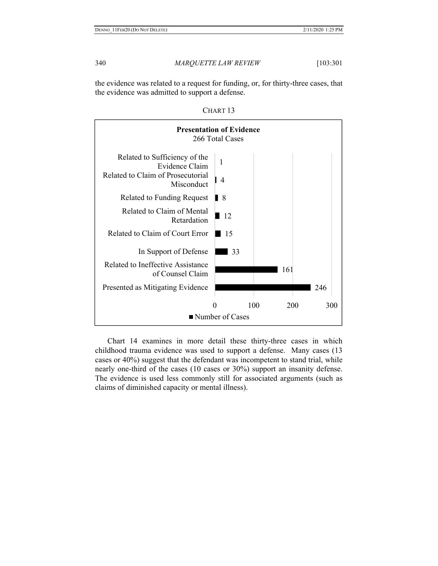the evidence was related to a request for funding, or, for thirty-three cases, that the evidence was admitted to support a defense.





Chart 14 examines in more detail these thirty-three cases in which childhood trauma evidence was used to support a defense. Many cases (13 cases or 40%) suggest that the defendant was incompetent to stand trial, while nearly one-third of the cases (10 cases or 30%) support an insanity defense. The evidence is used less commonly still for associated arguments (such as claims of diminished capacity or mental illness).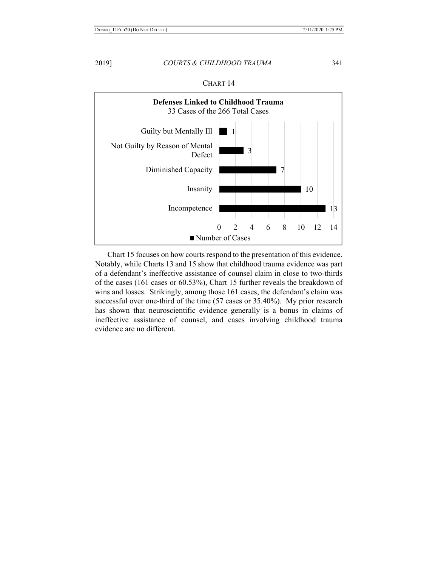

Chart 15 focuses on how courts respond to the presentation of this evidence. Notably, while Charts 13 and 15 show that childhood trauma evidence was part of a defendant's ineffective assistance of counsel claim in close to two-thirds of the cases (161 cases or 60.53%), Chart 15 further reveals the breakdown of wins and losses. Strikingly, among those 161 cases, the defendant's claim was successful over one-third of the time (57 cases or 35.40%). My prior research has shown that neuroscientific evidence generally is a bonus in claims of ineffective assistance of counsel, and cases involving childhood trauma evidence are no different.

CHART 14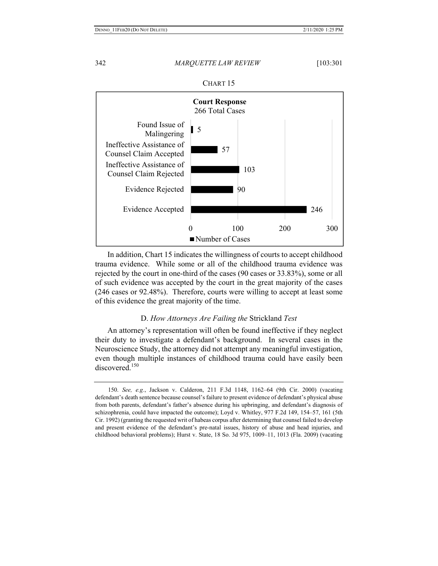

CHART 15

In addition, Chart 15 indicates the willingness of courts to accept childhood trauma evidence. While some or all of the childhood trauma evidence was rejected by the court in one-third of the cases (90 cases or 33.83%), some or all of such evidence was accepted by the court in the great majority of the cases (246 cases or 92.48%). Therefore, courts were willing to accept at least some of this evidence the great majority of the time.

# D. *How Attorneys Are Failing the* Strickland *Test*

An attorney's representation will often be found ineffective if they neglect their duty to investigate a defendant's background. In several cases in the Neuroscience Study, the attorney did not attempt any meaningful investigation, even though multiple instances of childhood trauma could have easily been discovered.<sup>150</sup>

<sup>150.</sup> *See, e.g.*, Jackson v. Calderon, 211 F.3d 1148, 1162–64 (9th Cir. 2000) (vacating defendant's death sentence because counsel's failure to present evidence of defendant's physical abuse from both parents, defendant's father's absence during his upbringing, and defendant's diagnosis of schizophrenia, could have impacted the outcome); Loyd v. Whitley, 977 F.2d 149, 154–57, 161 (5th Cir. 1992) (granting the requested writ of habeas corpus after determining that counsel failed to develop and present evidence of the defendant's pre-natal issues, history of abuse and head injuries, and childhood behavioral problems); Hurst v. State, 18 So. 3d 975, 1009–11, 1013 (Fla. 2009) (vacating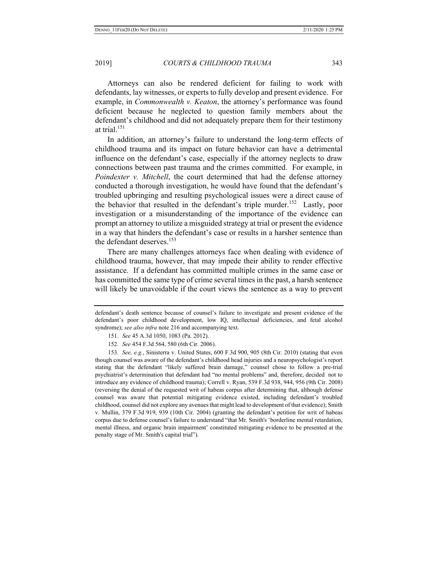Attorneys can also be rendered deficient for failing to work with defendants, lay witnesses, or experts to fully develop and present evidence. For example, in *Commonwealth v. Keaton*, the attorney's performance was found deficient because he neglected to question family members about the defendant's childhood and did not adequately prepare them for their testimony at trial.<sup>151</sup>

In addition, an attorney's failure to understand the long-term effects of childhood trauma and its impact on future behavior can have a detrimental influence on the defendant's case, especially if the attorney neglects to draw connections between past trauma and the crimes committed. For example, in *Poindexter v. Mitchell*, the court determined that had the defense attorney conducted a thorough investigation, he would have found that the defendant's troubled upbringing and resulting psychological issues were a direct cause of the behavior that resulted in the defendant's triple murder.<sup>152</sup> Lastly, poor investigation or a misunderstanding of the importance of the evidence can prompt an attorney to utilize a misguided strategy at trial or present the evidence in a way that hinders the defendant's case or results in a harsher sentence than the defendant deserves.<sup>153</sup>

There are many challenges attorneys face when dealing with evidence of childhood trauma, however, that may impede their ability to render effective assistance. If a defendant has committed multiple crimes in the same case or has committed the same type of crime several times in the past, a harsh sentence will likely be unavoidable if the court views the sentence as a way to prevent

153. *See, e.g.*, Sinisterra v. United States, 600 F.3d 900, 905 (8th Cir. 2010) (stating that even though counsel was aware of the defendant's childhood head injuries and a neuropsychologist's report stating that the defendant "likely suffered brain damage," counsel chose to follow a pre-trial psychiatrist's determination that defendant had "no mental problems" and, therefore, decided not to introduce any evidence of childhood trauma); Correll v. Ryan, 539 F.3d 938, 944, 956 (9th Cir. 2008) (reversing the denial of the requested writ of habeas corpus after determining that, although defense counsel was aware that potential mitigating evidence existed, including defendant's troubled childhood, counsel did not explore any avenues that might lead to development of that evidence); Smith v. Mullin, 379 F.3d 919, 939 (10th Cir. 2004) (granting the defendant's petition for writ of habeas corpus due to defense counsel's failure to understand "that Mr. Smith's 'borderline mental retardation, mental illness, and organic brain impairment' constituted mitigating evidence to be presented at the penalty stage of Mr. Smith's capital trial").

defendant's death sentence because of counsel's failure to investigate and present evidence of the defendant's poor childhood development, low IQ, intellectual deficiencies, and fetal alcohol syndrome); *see also infra* note 216 and accompanying text.

<sup>151.</sup> *See* 45 A.3d 1050, 1083 (Pa. 2012).

<sup>152.</sup> *See* 454 F.3d 564, 580 (6th Cir. 2006).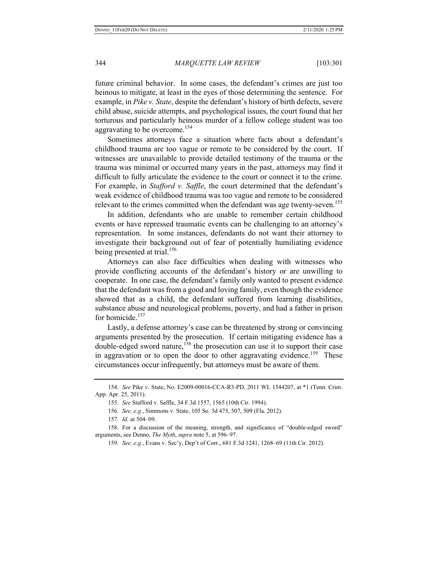future criminal behavior. In some cases, the defendant's crimes are just too heinous to mitigate, at least in the eyes of those determining the sentence. For example, in *Pike v. State*, despite the defendant's history of birth defects, severe child abuse, suicide attempts, and psychological issues, the court found that her torturous and particularly heinous murder of a fellow college student was too aggravating to be overcome.<sup>154</sup>

Sometimes attorneys face a situation where facts about a defendant's childhood trauma are too vague or remote to be considered by the court. If witnesses are unavailable to provide detailed testimony of the trauma or the trauma was minimal or occurred many years in the past, attorneys may find it difficult to fully articulate the evidence to the court or connect it to the crime. For example, in *Stafford v. Saffle*, the court determined that the defendant's weak evidence of childhood trauma was too vague and remote to be considered relevant to the crimes committed when the defendant was age twenty-seven.<sup>155</sup>

In addition, defendants who are unable to remember certain childhood events or have repressed traumatic events can be challenging to an attorney's representation. In some instances, defendants do not want their attorney to investigate their background out of fear of potentially humiliating evidence being presented at trial.<sup>156</sup>

Attorneys can also face difficulties when dealing with witnesses who provide conflicting accounts of the defendant's history or are unwilling to cooperate. In one case, the defendant's family only wanted to present evidence that the defendant was from a good and loving family, even though the evidence showed that as a child, the defendant suffered from learning disabilities, substance abuse and neurological problems, poverty, and had a father in prison for homicide.<sup>157</sup>

Lastly, a defense attorney's case can be threatened by strong or convincing arguments presented by the prosecution. If certain mitigating evidence has a double-edged sword nature,<sup>158</sup> the prosecution can use it to support their case in aggravation or to open the door to other aggravating evidence.<sup>159</sup> These circumstances occur infrequently, but attorneys must be aware of them.

<sup>154.</sup> *See* Pike v. State, No. E2009-00016-CCA-R3-PD, 2011 WL 1544207, at \*1 (Tenn. Crim. App. Apr. 25, 2011).

<sup>155.</sup> *See* Stafford v. Saffle, 34 F.3d 1557, 1565 (10th Cir. 1994).

<sup>156.</sup> *See, e.g.*, Simmons v. State, 105 So. 3d 475, 507, 509 (Fla. 2012).

<sup>157.</sup> *Id.* at 504–09.

<sup>158.</sup> For a discussion of the meaning, strength, and significance of "double-edged sword" arguments, see Denno, *The Myth*, *supra* note 5, at 596–97.

<sup>159.</sup> *See, e.g.*, Evans v. Sec'y, Dep't of Corr., 681 F.3d 1241, 1268–69 (11th Cir. 2012).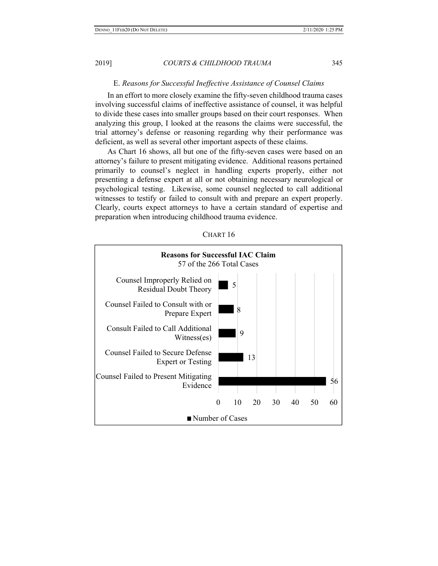# E. *Reasons for Successful Ineffective Assistance of Counsel Claims*

In an effort to more closely examine the fifty-seven childhood trauma cases involving successful claims of ineffective assistance of counsel, it was helpful to divide these cases into smaller groups based on their court responses. When analyzing this group, I looked at the reasons the claims were successful, the trial attorney's defense or reasoning regarding why their performance was deficient, as well as several other important aspects of these claims.

As Chart 16 shows, all but one of the fifty-seven cases were based on an attorney's failure to present mitigating evidence. Additional reasons pertained primarily to counsel's neglect in handling experts properly, either not presenting a defense expert at all or not obtaining necessary neurological or psychological testing. Likewise, some counsel neglected to call additional witnesses to testify or failed to consult with and prepare an expert properly. Clearly, courts expect attorneys to have a certain standard of expertise and preparation when introducing childhood trauma evidence.



CHART 16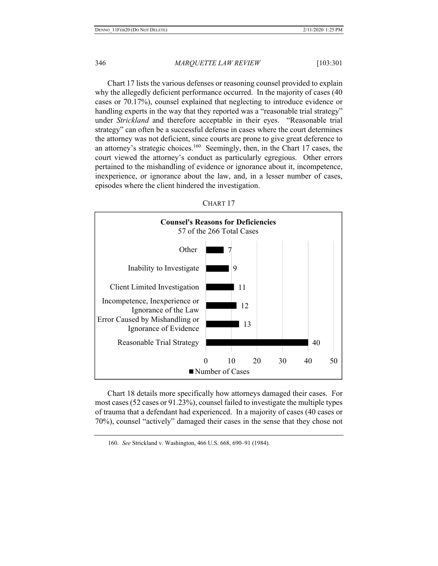Chart 17 lists the various defenses or reasoning counsel provided to explain why the allegedly deficient performance occurred. In the majority of cases (40 cases or 70.17%), counsel explained that neglecting to introduce evidence or handling experts in the way that they reported was a "reasonable trial strategy" under *Strickland* and therefore acceptable in their eyes. "Reasonable trial strategy" can often be a successful defense in cases where the court determines the attorney was not deficient, since courts are prone to give great deference to an attorney's strategic choices.160 Seemingly, then, in the Chart 17 cases, the court viewed the attorney's conduct as particularly egregious. Other errors pertained to the mishandling of evidence or ignorance about it, incompetence, inexperience, or ignorance about the law, and, in a lesser number of cases, episodes where the client hindered the investigation.



CHART 17

Chart 18 details more specifically how attorneys damaged their cases. For most cases (52 cases or 91.23%), counsel failed to investigate the multiple types of trauma that a defendant had experienced. In a majority of cases (40 cases or 70%), counsel "actively" damaged their cases in the sense that they chose not

<sup>160.</sup> *See* Strickland v. Washington, 466 U.S. 668, 690–91 (1984).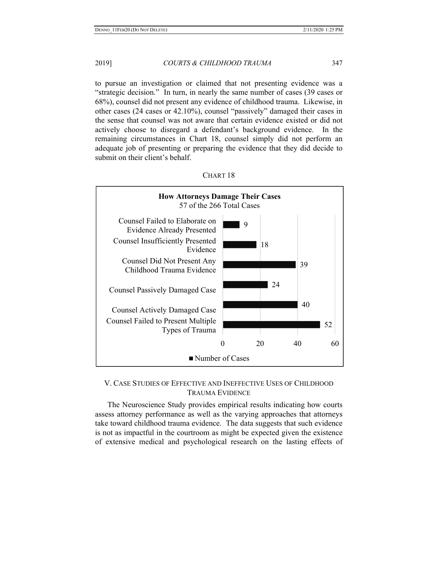to pursue an investigation or claimed that not presenting evidence was a "strategic decision." In turn, in nearly the same number of cases (39 cases or 68%), counsel did not present any evidence of childhood trauma. Likewise, in other cases (24 cases or 42.10%), counsel "passively" damaged their cases in the sense that counsel was not aware that certain evidence existed or did not actively choose to disregard a defendant's background evidence. In the remaining circumstances in Chart 18, counsel simply did not perform an adequate job of presenting or preparing the evidence that they did decide to submit on their client's behalf.



# CHART 18

# V. CASE STUDIES OF EFFECTIVE AND INEFFECTIVE USES OF CHILDHOOD TRAUMA EVIDENCE

The Neuroscience Study provides empirical results indicating how courts assess attorney performance as well as the varying approaches that attorneys take toward childhood trauma evidence. The data suggests that such evidence is not as impactful in the courtroom as might be expected given the existence of extensive medical and psychological research on the lasting effects of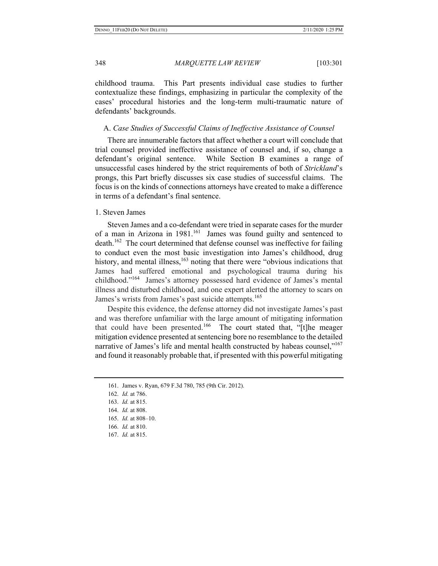childhood trauma. This Part presents individual case studies to further contextualize these findings, emphasizing in particular the complexity of the cases' procedural histories and the long-term multi-traumatic nature of defendants' backgrounds.

### A. *Case Studies of Successful Claims of Ineffective Assistance of Counsel*

There are innumerable factors that affect whether a court will conclude that trial counsel provided ineffective assistance of counsel and, if so, change a defendant's original sentence. While Section B examines a range of unsuccessful cases hindered by the strict requirements of both of *Strickland*'s prongs, this Part briefly discusses six case studies of successful claims. The focus is on the kinds of connections attorneys have created to make a difference in terms of a defendant's final sentence.

# 1. Steven James

Steven James and a co-defendant were tried in separate cases for the murder of a man in Arizona in 1981.<sup>161</sup> James was found guilty and sentenced to death.<sup>162</sup> The court determined that defense counsel was ineffective for failing to conduct even the most basic investigation into James's childhood, drug history, and mental illness, $163$  noting that there were "obvious indications that James had suffered emotional and psychological trauma during his childhood."164 James's attorney possessed hard evidence of James's mental illness and disturbed childhood, and one expert alerted the attorney to scars on James's wrists from James's past suicide attempts.<sup>165</sup>

Despite this evidence, the defense attorney did not investigate James's past and was therefore unfamiliar with the large amount of mitigating information that could have been presented.<sup>166</sup> The court stated that, "[t]he meager mitigation evidence presented at sentencing bore no resemblance to the detailed narrative of James's life and mental health constructed by habeas counsel,"<sup>167</sup> and found it reasonably probable that, if presented with this powerful mitigating

- 165. *Id.* at 808–10.
- 166. *Id.* at 810.
- 167. *Id.* at 815.

<sup>161.</sup> James v. Ryan, 679 F.3d 780, 785 (9th Cir. 2012).

<sup>162.</sup> *Id.* at 786.

<sup>163.</sup> *Id.* at 815.

<sup>164.</sup> *Id.* at 808.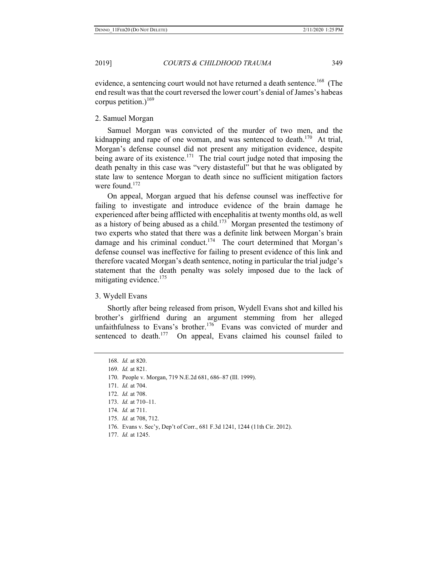evidence, a sentencing court would not have returned a death sentence.<sup>168</sup> (The end result was that the court reversed the lower court's denial of James's habeas corpus petition.)<sup>169</sup>

2. Samuel Morgan

Samuel Morgan was convicted of the murder of two men, and the kidnapping and rape of one woman, and was sentenced to death.<sup>170</sup> At trial, Morgan's defense counsel did not present any mitigation evidence, despite being aware of its existence.<sup>171</sup> The trial court judge noted that imposing the death penalty in this case was "very distasteful" but that he was obligated by state law to sentence Morgan to death since no sufficient mitigation factors were found. $172$ 

On appeal, Morgan argued that his defense counsel was ineffective for failing to investigate and introduce evidence of the brain damage he experienced after being afflicted with encephalitis at twenty months old, as well as a history of being abused as a child.<sup>173</sup> Morgan presented the testimony of two experts who stated that there was a definite link between Morgan's brain damage and his criminal conduct.<sup>174</sup> The court determined that Morgan's defense counsel was ineffective for failing to present evidence of this link and therefore vacated Morgan's death sentence, noting in particular the trial judge's statement that the death penalty was solely imposed due to the lack of mitigating evidence. $175$ 

3. Wydell Evans

Shortly after being released from prison, Wydell Evans shot and killed his brother's girlfriend during an argument stemming from her alleged unfaithfulness to Evans's brother.<sup>176</sup> Evans was convicted of murder and sentenced to death.<sup>177</sup> On appeal, Evans claimed his counsel failed to

169. *Id.* at 821.

171. *Id.* at 704.

- 176. Evans v. Sec'y, Dep't of Corr., 681 F.3d 1241, 1244 (11th Cir. 2012).
- 177. *Id.* at 1245.

<sup>168.</sup> *Id.* at 820.

<sup>170.</sup> People v. Morgan, 719 N.E.2d 681, 686–87 (Ill. 1999).

<sup>172.</sup> *Id.* at 708.

<sup>173.</sup> *Id.* at 710–11.

<sup>174.</sup> *Id.* at 711.

<sup>175.</sup> *Id.* at 708, 712.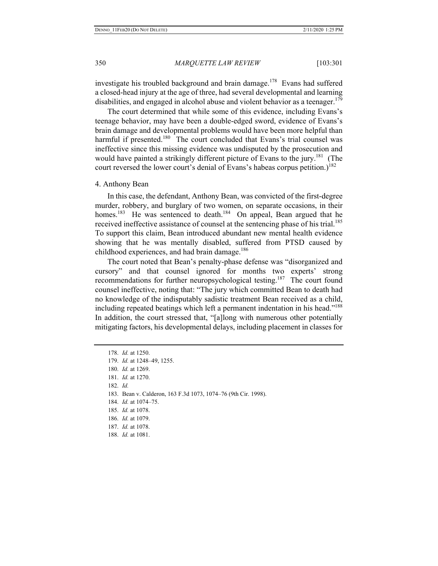investigate his troubled background and brain damage.<sup>178</sup> Evans had suffered a closed-head injury at the age of three, had several developmental and learning disabilities, and engaged in alcohol abuse and violent behavior as a teenager.<sup>179</sup>

The court determined that while some of this evidence, including Evans's teenage behavior, may have been a double-edged sword, evidence of Evans's brain damage and developmental problems would have been more helpful than harmful if presented.<sup>180</sup> The court concluded that Evans's trial counsel was ineffective since this missing evidence was undisputed by the prosecution and would have painted a strikingly different picture of Evans to the jury.<sup>181</sup> (The court reversed the lower court's denial of Evans's habeas corpus petition.)<sup>182</sup>

### 4. Anthony Bean

In this case, the defendant, Anthony Bean, was convicted of the first-degree murder, robbery, and burglary of two women, on separate occasions, in their homes.<sup>183</sup> He was sentenced to death.<sup>184</sup> On appeal, Bean argued that he received ineffective assistance of counsel at the sentencing phase of his trial.<sup>185</sup> To support this claim, Bean introduced abundant new mental health evidence showing that he was mentally disabled, suffered from PTSD caused by childhood experiences, and had brain damage.<sup>186</sup>

The court noted that Bean's penalty-phase defense was "disorganized and cursory" and that counsel ignored for months two experts' strong recommendations for further neuropsychological testing.<sup>187</sup> The court found counsel ineffective, noting that: "The jury which committed Bean to death had no knowledge of the indisputably sadistic treatment Bean received as a child, including repeated beatings which left a permanent indentation in his head."<sup>188</sup> In addition, the court stressed that, "[a]long with numerous other potentially mitigating factors, his developmental delays, including placement in classes for

188. *Id.* at 1081.

<sup>178.</sup> *Id.* at 1250. 179. *Id.* at 1248–49, 1255. 180. *Id.* at 1269. 181. *Id.* at 1270. 182. *Id.*  183. Bean v. Calderon, 163 F.3d 1073, 1074–76 (9th Cir. 1998). 184. *Id.* at 1074–75. 185. *Id.* at 1078. 186. *Id.* at 1079.

<sup>187.</sup> *Id.* at 1078.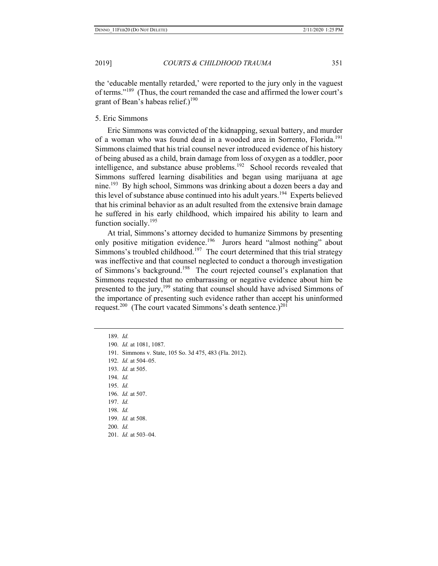the 'educable mentally retarded,' were reported to the jury only in the vaguest of terms."189 (Thus, the court remanded the case and affirmed the lower court's grant of Bean's habeas relief.)<sup>190</sup>

# 5. Eric Simmons

Eric Simmons was convicted of the kidnapping, sexual battery, and murder of a woman who was found dead in a wooded area in Sorrento, Florida.<sup>191</sup> Simmons claimed that his trial counsel never introduced evidence of his history of being abused as a child, brain damage from loss of oxygen as a toddler, poor intelligence, and substance abuse problems.<sup>192</sup> School records revealed that Simmons suffered learning disabilities and began using marijuana at age nine.<sup>193</sup> By high school, Simmons was drinking about a dozen beers a day and this level of substance abuse continued into his adult years.<sup>194</sup> Experts believed that his criminal behavior as an adult resulted from the extensive brain damage he suffered in his early childhood, which impaired his ability to learn and function socially.<sup>195</sup>

At trial, Simmons's attorney decided to humanize Simmons by presenting only positive mitigation evidence.<sup>196</sup> Jurors heard "almost nothing" about Simmons's troubled childhood.<sup>197</sup> The court determined that this trial strategy was ineffective and that counsel neglected to conduct a thorough investigation of Simmons's background.198 The court rejected counsel's explanation that Simmons requested that no embarrassing or negative evidence about him be presented to the jury,  $199$  stating that counsel should have advised Simmons of the importance of presenting such evidence rather than accept his uninformed request.<sup>200</sup> (The court vacated Simmons's death sentence.)<sup>201</sup>

191. Simmons v. State, 105 So. 3d 475, 483 (Fla. 2012).

193. *Id.* at 505.

194. *Id.* 

195. *Id.* 

196. *Id.* at 507.

197. *Id.* 

198. *Id.* 

199. *Id.* at 508.

200. *Id.* 

201. *Id.* at 503–04.

<sup>189.</sup> *Id.*

<sup>190.</sup> *Id.* at 1081, 1087.

<sup>192.</sup> *Id.* at 504–05.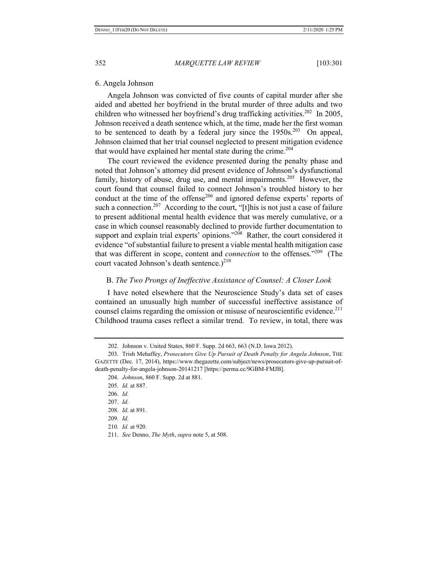### 6. Angela Johnson

Angela Johnson was convicted of five counts of capital murder after she aided and abetted her boyfriend in the brutal murder of three adults and two children who witnessed her boyfriend's drug trafficking activities.<sup>202</sup> In 2005, Johnson received a death sentence which, at the time, made her the first woman to be sentenced to death by a federal jury since the  $1950s$ .<sup>203</sup> On appeal, Johnson claimed that her trial counsel neglected to present mitigation evidence that would have explained her mental state during the crime.<sup>204</sup>

The court reviewed the evidence presented during the penalty phase and noted that Johnson's attorney did present evidence of Johnson's dysfunctional family, history of abuse, drug use, and mental impairments.<sup>205</sup> However, the court found that counsel failed to connect Johnson's troubled history to her conduct at the time of the offense<sup>206</sup> and ignored defense experts' reports of such a connection.<sup>207</sup> According to the court, "[t]his is not just a case of failure to present additional mental health evidence that was merely cumulative, or a case in which counsel reasonably declined to provide further documentation to support and explain trial experts' opinions."<sup>208</sup> Rather, the court considered it evidence "of substantial failure to present a viable mental health mitigation case that was different in scope, content and *connection* to the offenses."209 (The court vacated Johnson's death sentence.) $2^{10}$ 

# B. *The Two Prongs of Ineffective Assistance of Counsel: A Closer Look*

I have noted elsewhere that the Neuroscience Study's data set of cases contained an unusually high number of successful ineffective assistance of counsel claims regarding the omission or misuse of neuroscientific evidence.<sup>211</sup> Childhood trauma cases reflect a similar trend. To review, in total, there was

<sup>202.</sup> Johnson v. United States, 860 F. Supp. 2d 663, 663 (N.D. Iowa 2012).

<sup>203.</sup> Trish Mehaffey, *Prosecutors Give Up Pursuit of Death Penalty for Angela Johnson*, THE GAZETTE (Dec. 17, 2014), https://www.thegazette.com/subject/news/prosecutors-give-up-pursuit-ofdeath-penalty-for-angela-johnson-20141217 [https://perma.cc/9GBM-FMJB].

<sup>204.</sup> *Johnson*, 860 F. Supp. 2d at 881.

<sup>205.</sup> *Id.* at 887.

<sup>206.</sup> *Id.*

<sup>207.</sup> *Id.* 

<sup>208.</sup> *Id.* at 891.

<sup>209.</sup> *Id.*

<sup>210.</sup> *Id.* at 920.

<sup>211.</sup> *See* Denno, *The Myth*, *supra* note 5, at 508.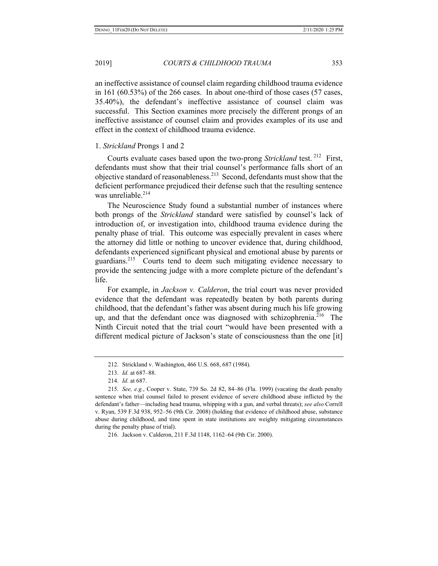an ineffective assistance of counsel claim regarding childhood trauma evidence in 161 (60.53%) of the 266 cases. In about one-third of those cases (57 cases, 35.40%), the defendant's ineffective assistance of counsel claim was successful. This Section examines more precisely the different prongs of an ineffective assistance of counsel claim and provides examples of its use and effect in the context of childhood trauma evidence.

### 1. *Strickland* Prongs 1 and 2

Courts evaluate cases based upon the two-prong *Strickland* test.<sup>212</sup> First, defendants must show that their trial counsel's performance falls short of an objective standard of reasonableness.<sup>213</sup> Second, defendants must show that the deficient performance prejudiced their defense such that the resulting sentence was unreliable. $214$ 

The Neuroscience Study found a substantial number of instances where both prongs of the *Strickland* standard were satisfied by counsel's lack of introduction of, or investigation into, childhood trauma evidence during the penalty phase of trial. This outcome was especially prevalent in cases where the attorney did little or nothing to uncover evidence that, during childhood, defendants experienced significant physical and emotional abuse by parents or guardians.215 Courts tend to deem such mitigating evidence necessary to provide the sentencing judge with a more complete picture of the defendant's life.

For example, in *Jackson v. Calderon*, the trial court was never provided evidence that the defendant was repeatedly beaten by both parents during childhood, that the defendant's father was absent during much his life growing up, and that the defendant once was diagnosed with schizophrenia.<sup>216</sup> The Ninth Circuit noted that the trial court "would have been presented with a different medical picture of Jackson's state of consciousness than the one [it]

<sup>212.</sup> Strickland v. Washington, 466 U.S. 668, 687 (1984).

<sup>213.</sup> *Id.* at 687–88.

<sup>214.</sup> *Id.* at 687.

<sup>215.</sup> *See, e.g.*, Cooper v. State, 739 So. 2d 82, 84–86 (Fla. 1999) (vacating the death penalty sentence when trial counsel failed to present evidence of severe childhood abuse inflicted by the defendant's father—including head trauma, whipping with a gun, and verbal threats); *see also* Correll v. Ryan, 539 F.3d 938, 952–56 (9th Cir. 2008) (holding that evidence of childhood abuse, substance abuse during childhood, and time spent in state institutions are weighty mitigating circumstances during the penalty phase of trial).

<sup>216.</sup> Jackson v. Calderon, 211 F.3d 1148, 1162–64 (9th Cir. 2000).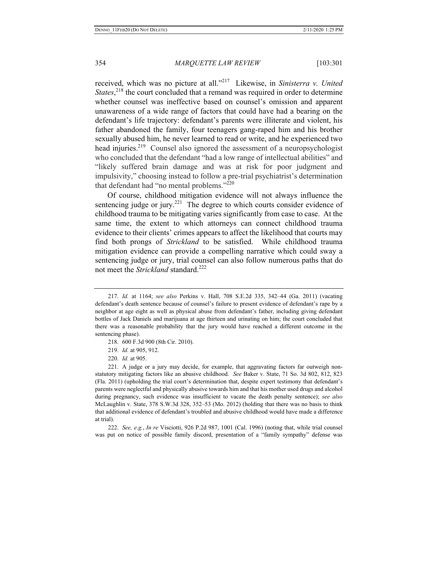received, which was no picture at all."217 Likewise, in *Sinisterra v. United States*,<sup>218</sup>, the court concluded that a remand was required in order to determine whether counsel was ineffective based on counsel's omission and apparent unawareness of a wide range of factors that could have had a bearing on the defendant's life trajectory: defendant's parents were illiterate and violent, his father abandoned the family, four teenagers gang-raped him and his brother sexually abused him, he never learned to read or write, and he experienced two head injuries.<sup>219</sup> Counsel also ignored the assessment of a neuropsychologist who concluded that the defendant "had a low range of intellectual abilities" and "likely suffered brain damage and was at risk for poor judgment and impulsivity," choosing instead to follow a pre-trial psychiatrist's determination that defendant had "no mental problems."<sup>220</sup>

Of course, childhood mitigation evidence will not always influence the sentencing judge or jury.<sup>221</sup> The degree to which courts consider evidence of childhood trauma to be mitigating varies significantly from case to case. At the same time, the extent to which attorneys can connect childhood trauma evidence to their clients' crimes appears to affect the likelihood that courts may find both prongs of *Strickland* to be satisfied. While childhood trauma mitigation evidence can provide a compelling narrative which could sway a sentencing judge or jury, trial counsel can also follow numerous paths that do not meet the *Strickland* standard.<sup>222</sup>

- 218. 600 F.3d 900 (8th Cir. 2010).
- 219. *Id.* at 905, 912.
- 220. *Id.* at 905.

221. A judge or a jury may decide, for example, that aggravating factors far outweigh nonstatutory mitigating factors like an abusive childhood. *See* Baker v. State, 71 So. 3d 802, 812, 823 (Fla. 2011) (upholding the trial court's determination that, despite expert testimony that defendant's parents were neglectful and physically abusive towards him and that his mother used drugs and alcohol during pregnancy, such evidence was insufficient to vacate the death penalty sentence); *see also* McLaughlin v. State, 378 S.W.3d 328, 352–53 (Mo. 2012) (holding that there was no basis to think that additional evidence of defendant's troubled and abusive childhood would have made a difference at trial).

222. *See, e.g.*, *In re* Visciotti, 926 P.2d 987, 1001 (Cal. 1996) (noting that, while trial counsel was put on notice of possible family discord, presentation of a "family sympathy" defense was

<sup>217.</sup> *Id.* at 1164; *see also* Perkins v. Hall, 708 S.E.2d 335, 342–44 (Ga. 2011) (vacating defendant's death sentence because of counsel's failure to present evidence of defendant's rape by a neighbor at age eight as well as physical abuse from defendant's father, including giving defendant bottles of Jack Daniels and marijuana at age thirteen and urinating on him; the court concluded that there was a reasonable probability that the jury would have reached a different outcome in the sentencing phase).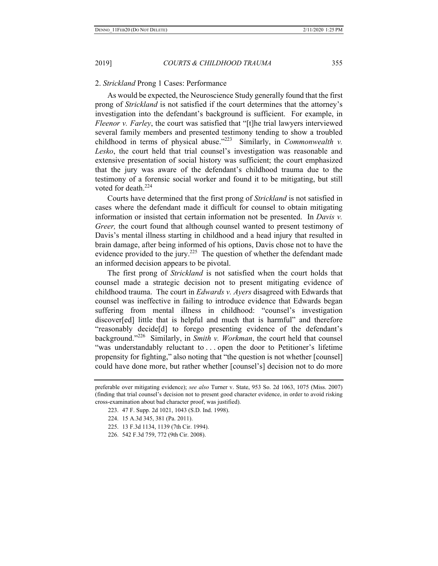### 2. *Strickland* Prong 1 Cases: Performance

As would be expected, the Neuroscience Study generally found that the first prong of *Strickland* is not satisfied if the court determines that the attorney's investigation into the defendant's background is sufficient. For example, in *Fleenor v. Farley*, the court was satisfied that "[t]he trial lawyers interviewed several family members and presented testimony tending to show a troubled childhood in terms of physical abuse."223 Similarly, in *Commonwealth v. Lesko*, the court held that trial counsel's investigation was reasonable and extensive presentation of social history was sufficient; the court emphasized that the jury was aware of the defendant's childhood trauma due to the testimony of a forensic social worker and found it to be mitigating, but still voted for death.<sup>224</sup>

Courts have determined that the first prong of *Strickland* is not satisfied in cases where the defendant made it difficult for counsel to obtain mitigating information or insisted that certain information not be presented. In *Davis v. Greer,* the court found that although counsel wanted to present testimony of Davis's mental illness starting in childhood and a head injury that resulted in brain damage, after being informed of his options, Davis chose not to have the evidence provided to the jury.<sup>225</sup> The question of whether the defendant made an informed decision appears to be pivotal.

The first prong of *Strickland* is not satisfied when the court holds that counsel made a strategic decision not to present mitigating evidence of childhood trauma. The court in *Edwards v. Ayers* disagreed with Edwards that counsel was ineffective in failing to introduce evidence that Edwards began suffering from mental illness in childhood: "counsel's investigation discover[ed] little that is helpful and much that is harmful" and therefore "reasonably decide[d] to forego presenting evidence of the defendant's background."226 Similarly, in *Smith v. Workman*, the court held that counsel "was understandably reluctant to . . . open the door to Petitioner's lifetime propensity for fighting," also noting that "the question is not whether [counsel] could have done more, but rather whether [counsel's] decision not to do more

- 225. 13 F.3d 1134, 1139 (7th Cir. 1994).
- 226. 542 F.3d 759, 772 (9th Cir. 2008).

preferable over mitigating evidence); *see also* Turner v. State, 953 So. 2d 1063, 1075 (Miss. 2007) (finding that trial counsel's decision not to present good character evidence, in order to avoid risking cross-examination about bad character proof, was justified).

<sup>223. 47</sup> F. Supp. 2d 1021, 1043 (S.D. Ind. 1998).

<sup>224. 15</sup> A.3d 345, 381 (Pa. 2011).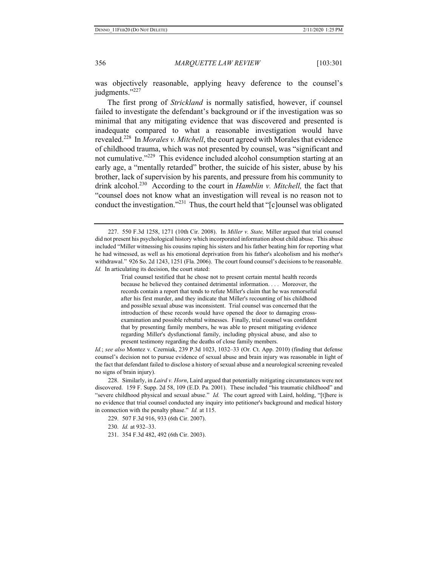was objectively reasonable, applying heavy deference to the counsel's judgments."<sup>227</sup>

The first prong of *Strickland* is normally satisfied, however, if counsel failed to investigate the defendant's background or if the investigation was so minimal that any mitigating evidence that was discovered and presented is inadequate compared to what a reasonable investigation would have revealed.228 In *Morales v. Mitchell*, the court agreed with Morales that evidence of childhood trauma, which was not presented by counsel, was "significant and not cumulative."<sup>229</sup> This evidence included alcohol consumption starting at an early age, a "mentally retarded" brother, the suicide of his sister, abuse by his brother, lack of supervision by his parents, and pressure from his community to drink alcohol.<sup>230</sup> According to the court in *Hamblin v. Mitchell*, the fact that "counsel does not know what an investigation will reveal is no reason not to conduct the investigation."231 Thus, the court held that "[c]ounsel was obligated

Trial counsel testified that he chose not to present certain mental health records because he believed they contained detrimental information. . . . Moreover, the records contain a report that tends to refute Miller's claim that he was remorseful after his first murder, and they indicate that Miller's recounting of his childhood and possible sexual abuse was inconsistent. Trial counsel was concerned that the introduction of these records would have opened the door to damaging crossexamination and possible rebuttal witnesses. Finally, trial counsel was confident that by presenting family members, he was able to present mitigating evidence regarding Miller's dysfunctional family, including physical abuse, and also to present testimony regarding the deaths of close family members.

*Id.*; *see also* Montez v. Czerniak, 239 P.3d 1023, 1032–33 (Or. Ct. App. 2010) (finding that defense counsel's decision not to pursue evidence of sexual abuse and brain injury was reasonable in light of the fact that defendant failed to disclose a history of sexual abuse and a neurological screening revealed no signs of brain injury).

228. Similarly, in *Laird v. Horn*, Laird argued that potentially mitigating circumstances were not discovered. 159 F. Supp. 2d 58, 109 (E.D. Pa. 2001). These included "his traumatic childhood" and "severe childhood physical and sexual abuse." *Id.* The court agreed with Laird, holding, "[t]here is no evidence that trial counsel conducted any inquiry into petitioner's background and medical history in connection with the penalty phase." *Id.* at 115.

229. 507 F.3d 916, 933 (6th Cir. 2007).

- 230. *Id.* at 932–33.
- 231. 354 F.3d 482, 492 (6th Cir. 2003).

<sup>227. 550</sup> F.3d 1258, 1271 (10th Cir. 2008). In *Miller v. State,* Miller argued that trial counsel did not present his psychological history which incorporated information about child abuse. This abuse included "Miller witnessing his cousins raping his sisters and his father beating him for reporting what he had witnessed, as well as his emotional deprivation from his father's alcoholism and his mother's withdrawal." 926 So. 2d 1243, 1251 (Fla. 2006). The court found counsel's decisions to be reasonable. *Id.* In articulating its decision, the court stated: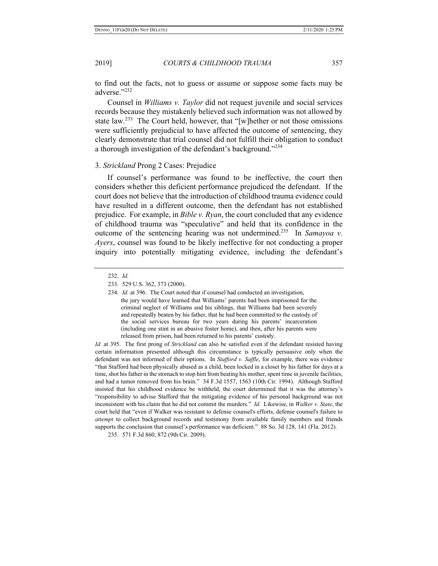to find out the facts, not to guess or assume or suppose some facts may be adverse."232

Counsel in *Williams v. Taylor* did not request juvenile and social services records because they mistakenly believed such information was not allowed by state law.<sup>233</sup> The Court held, however, that "[w]hether or not those omissions were sufficiently prejudicial to have affected the outcome of sentencing, they clearly demonstrate that trial counsel did not fulfill their obligation to conduct a thorough investigation of the defendant's background."<sup>234</sup>

# 3. *Strickland* Prong 2 Cases: Prejudice

If counsel's performance was found to be ineffective, the court then considers whether this deficient performance prejudiced the defendant. If the court does not believe that the introduction of childhood trauma evidence could have resulted in a different outcome, then the defendant has not established prejudice. For example, in *Bible v. Ryan*, the court concluded that any evidence of childhood trauma was "speculative" and held that its confidence in the outcome of the sentencing hearing was not undermined.235 In *Samayoa v. Ayers*, counsel was found to be likely ineffective for not conducting a proper inquiry into potentially mitigating evidence, including the defendant's

*Id.* at 395. The first prong of *Strickland* can also be satisfied even if the defendant resisted having certain information presented although this circumstance is typically persuasive only when the defendant was not informed of their options. In *Stafford v. Saffle*, for example, there was evidence "that Stafford had been physically abused as a child, been locked in a closet by his father for days at a time, shot his father in the stomach to stop him from beating his mother, spent time in juvenile facilities, and had a tumor removed from his brain." 34 F.3d 1557, 1563 (10th Cir. 1994). Although Stafford insisted that his childhood evidence be withheld, the court determined that it was the attorney's "responsibility to advise Stafford that the mitigating evidence of his personal background was not inconsistent with his claim that he did not commit the murders." *Id.* Likewise, in *Walker v. State*, the court held that "even if Walker was resistant to defense counsel's efforts, defense counsel's failure to *attempt* to collect background records and testimony from available family members and friends supports the conclusion that counsel's performance was deficient." 88 So. 3d 128, 141 (Fla. 2012).

235. 571 F.3d 860, 872 (9th Cir. 2009).

<sup>232.</sup> *Id.*

<sup>233. 529</sup> U.S. 362, 373 (2000).

<sup>234.</sup> *Id.* at 396. The Court noted that if counsel had conducted an investigation, the jury would have learned that Williams' parents had been imprisoned for the criminal neglect of Williams and his siblings, that Williams had been severely and repeatedly beaten by his father, that he had been committed to the custody of the social services bureau for two years during his parents' incarceration (including one stint in an abusive foster home), and then, after his parents were released from prison, had been returned to his parents' custody.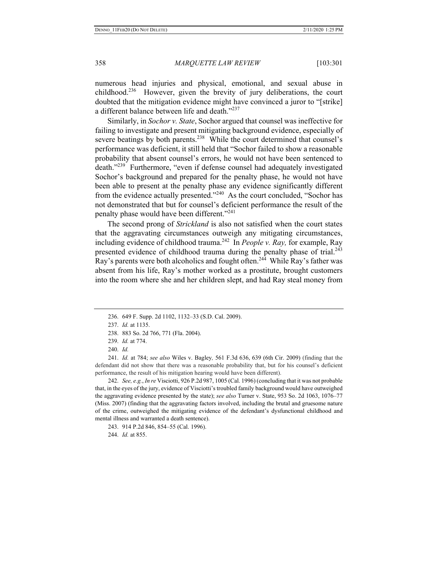numerous head injuries and physical, emotional, and sexual abuse in childhood.<sup>236</sup> However, given the brevity of jury deliberations, the court doubted that the mitigation evidence might have convinced a juror to "[strike] a different balance between life and death."<sup>237</sup>

Similarly, in *Sochor v. State*, Sochor argued that counsel was ineffective for failing to investigate and present mitigating background evidence, especially of severe beatings by both parents.<sup>238</sup> While the court determined that counsel's performance was deficient, it still held that "Sochor failed to show a reasonable probability that absent counsel's errors, he would not have been sentenced to death."239 Furthermore, "even if defense counsel had adequately investigated Sochor's background and prepared for the penalty phase, he would not have been able to present at the penalty phase any evidence significantly different from the evidence actually presented."240 As the court concluded, "Sochor has not demonstrated that but for counsel's deficient performance the result of the penalty phase would have been different."<sup>241</sup>

The second prong of *Strickland* is also not satisfied when the court states that the aggravating circumstances outweigh any mitigating circumstances, including evidence of childhood trauma.242 In *People v. Ray,* for example, Ray presented evidence of childhood trauma during the penalty phase of trial. $^{243}$ Ray's parents were both alcoholics and fought often.<sup>244</sup> While Ray's father was absent from his life, Ray's mother worked as a prostitute, brought customers into the room where she and her children slept, and had Ray steal money from

242. *See, e.g.*, *In re* Visciotti, 926 P.2d 987, 1005 (Cal. 1996) (concluding that it was not probable that, in the eyes of the jury, evidence of Visciotti's troubled family background would have outweighed the aggravating evidence presented by the state); *see also* Turner v. State, 953 So. 2d 1063, 1076–77 (Miss. 2007) (finding that the aggravating factors involved, including the brutal and gruesome nature of the crime, outweighed the mitigating evidence of the defendant's dysfunctional childhood and mental illness and warranted a death sentence).

243. 914 P.2d 846, 854–55 (Cal. 1996).

244. *Id.* at 855.

<sup>236. 649</sup> F. Supp. 2d 1102, 1132–33 (S.D. Cal. 2009).

<sup>237.</sup> *Id.* at 1135.

<sup>238. 883</sup> So. 2d 766, 771 (Fla. 2004).

<sup>239.</sup> *Id.* at 774.

<sup>240.</sup> *Id.*

<sup>241.</sup> *Id.* at 784; *see also* Wiles v. Bagley*,* 561 F.3d 636, 639 (6th Cir. 2009) (finding that the defendant did not show that there was a reasonable probability that, but for his counsel's deficient performance, the result of his mitigation hearing would have been different).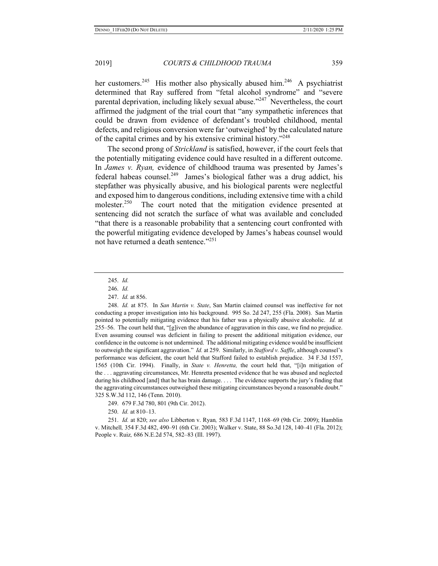her customers.<sup>245</sup> His mother also physically abused him.<sup>246</sup> A psychiatrist determined that Ray suffered from "fetal alcohol syndrome" and "severe parental deprivation, including likely sexual abuse."<sup>247</sup> Nevertheless, the court affirmed the judgment of the trial court that "any sympathetic inferences that could be drawn from evidence of defendant's troubled childhood, mental defects, and religious conversion were far 'outweighed' by the calculated nature of the capital crimes and by his extensive criminal history."<sup>248</sup>

The second prong of *Strickland* is satisfied, however, if the court feels that the potentially mitigating evidence could have resulted in a different outcome. In *James v. Ryan,* evidence of childhood trauma was presented by James's federal habeas counsel.<sup>249</sup> James's biological father was a drug addict, his stepfather was physically abusive, and his biological parents were neglectful and exposed him to dangerous conditions, including extensive time with a child molester.<sup>250</sup> The court noted that the mitigation evidence presented at sentencing did not scratch the surface of what was available and concluded "that there is a reasonable probability that a sentencing court confronted with the powerful mitigating evidence developed by James's habeas counsel would not have returned a death sentence."<sup>251</sup>

250. *Id.* at 810–13.

251. *Id.* at 820; *see also* Libberton v. Ryan*,* 583 F.3d 1147, 1168–69 (9th Cir. 2009); Hamblin v. Mitchell*,* 354 F.3d 482, 490–91 (6th Cir. 2003); Walker v. State, 88 So.3d 128, 140–41 (Fla. 2012); People v. Ruiz*,* 686 N.E.2d 574, 582–83 (Ill. 1997).

<sup>245.</sup> *Id.* 

<sup>246.</sup> *Id.* 

<sup>247.</sup> *Id.* at 856.

<sup>248.</sup> *Id.* at 875. In *San Martin v. State*, San Martin claimed counsel was ineffective for not conducting a proper investigation into his background. 995 So. 2d 247, 255 (Fla. 2008). San Martin pointed to potentially mitigating evidence that his father was a physically abusive alcoholic. *Id.* at 255–56. The court held that, "[g]iven the abundance of aggravation in this case, we find no prejudice. Even assuming counsel was deficient in failing to present the additional mitigation evidence, our confidence in the outcome is not undermined. The additional mitigating evidence would be insufficient to outweigh the significant aggravation." *Id.* at 259. Similarly, in *Stafford v. Saffle*, although counsel's performance was deficient, the court held that Stafford failed to establish prejudice. 34 F.3d 1557, 1565 (10th Cir. 1994). Finally, in *State v. Henretta,* the court held that, "[i]n mitigation of the . . . aggravating circumstances, Mr. Henretta presented evidence that he was abused and neglected during his childhood [and] that he has brain damage. . . . The evidence supports the jury's finding that the aggravating circumstances outweighed these mitigating circumstances beyond a reasonable doubt." 325 S.W.3d 112, 146 (Tenn. 2010).

<sup>249. 679</sup> F.3d 780, 801 (9th Cir. 2012).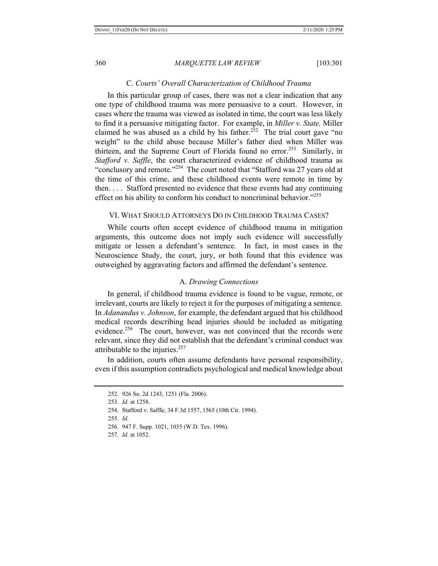#### C. *Courts' Overall Characterization of Childhood Trauma*

In this particular group of cases, there was not a clear indication that any one type of childhood trauma was more persuasive to a court. However, in cases where the trauma was viewed as isolated in time, the court was less likely to find it a persuasive mitigating factor. For example, in *Miller v. State,* Miller claimed he was abused as a child by his father.<sup>252</sup> The trial court gave "no weight" to the child abuse because Miller's father died when Miller was thirteen, and the Supreme Court of Florida found no error.<sup>253</sup> Similarly, in *Stafford v. Saffle*, the court characterized evidence of childhood trauma as "conclusory and remote."254 The court noted that "Stafford was 27 years old at the time of this crime, and these childhood events were remote in time by then. . . . Stafford presented no evidence that these events had any continuing effect on his ability to conform his conduct to noncriminal behavior."<sup>255</sup>

# VI. WHAT SHOULD ATTORNEYS DO IN CHILDHOOD TRAUMA CASES?

While courts often accept evidence of childhood trauma in mitigation arguments, this outcome does not imply such evidence will successfully mitigate or lessen a defendant's sentence. In fact, in most cases in the Neuroscience Study, the court, jury, or both found that this evidence was outweighed by aggravating factors and affirmed the defendant's sentence.

## A. *Drawing Connections*

In general, if childhood trauma evidence is found to be vague, remote, or irrelevant, courts are likely to reject it for the purposes of mitigating a sentence. In *Adanandus v. Johnson*, for example, the defendant argued that his childhood medical records describing head injuries should be included as mitigating evidence.<sup>256</sup> The court, however, was not convinced that the records were relevant, since they did not establish that the defendant's criminal conduct was attributable to the injuries. $257$ 

In addition, courts often assume defendants have personal responsibility, even if this assumption contradicts psychological and medical knowledge about

256. 947 F. Supp. 1021, 1035 (W.D. Tex. 1996).

<sup>252. 926</sup> So. 2d 1243, 1251 (Fla. 2006).

<sup>253.</sup> *Id.* at 1258.

<sup>254.</sup> Stafford v. Saffle, 34 F.3d 1557, 1565 (10th Cir. 1994).

<sup>255.</sup> *Id.* 

<sup>257.</sup> *Id.* at 1052.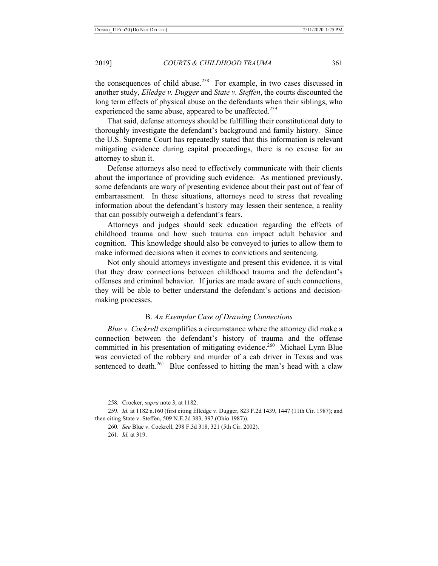the consequences of child abuse.<sup>258</sup> For example, in two cases discussed in another study, *Elledge v. Dugger* and *State v. Steffen*, the courts discounted the long term effects of physical abuse on the defendants when their siblings, who experienced the same abuse, appeared to be unaffected.<sup>259</sup>

That said, defense attorneys should be fulfilling their constitutional duty to thoroughly investigate the defendant's background and family history. Since the U.S. Supreme Court has repeatedly stated that this information is relevant mitigating evidence during capital proceedings, there is no excuse for an attorney to shun it.

Defense attorneys also need to effectively communicate with their clients about the importance of providing such evidence. As mentioned previously, some defendants are wary of presenting evidence about their past out of fear of embarrassment. In these situations, attorneys need to stress that revealing information about the defendant's history may lessen their sentence, a reality that can possibly outweigh a defendant's fears.

Attorneys and judges should seek education regarding the effects of childhood trauma and how such trauma can impact adult behavior and cognition. This knowledge should also be conveyed to juries to allow them to make informed decisions when it comes to convictions and sentencing.

Not only should attorneys investigate and present this evidence, it is vital that they draw connections between childhood trauma and the defendant's offenses and criminal behavior. If juries are made aware of such connections, they will be able to better understand the defendant's actions and decisionmaking processes.

# B. *An Exemplar Case of Drawing Connections*

*Blue v. Cockrell* exemplifies a circumstance where the attorney did make a connection between the defendant's history of trauma and the offense committed in his presentation of mitigating evidence.<sup>260</sup> Michael Lynn Blue was convicted of the robbery and murder of a cab driver in Texas and was sentenced to death. $^{261}$  Blue confessed to hitting the man's head with a claw

<sup>258.</sup> Crocker, *supra* note 3, at 1182.

<sup>259.</sup> *Id.* at 1182 n.160 (first citing Elledge v. Dugger, 823 F.2d 1439, 1447 (11th Cir. 1987); and then citing State v. Steffen, 509 N.E.2d 383, 397 (Ohio 1987)).

<sup>260.</sup> *See* Blue v. Cockrell, 298 F.3d 318, 321 (5th Cir. 2002).

<sup>261.</sup> *Id.* at 319.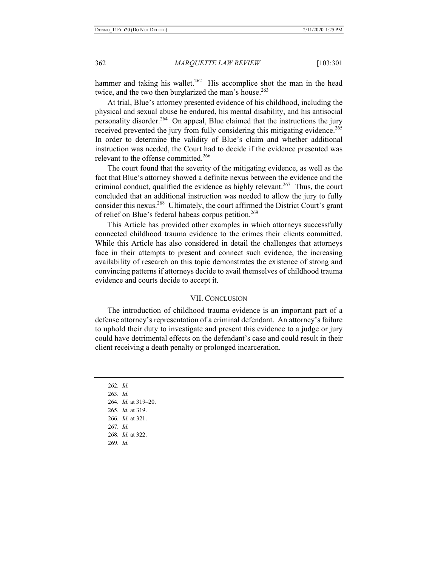hammer and taking his wallet.<sup>262</sup> His accomplice shot the man in the head twice, and the two then burglarized the man's house.<sup>263</sup>

At trial, Blue's attorney presented evidence of his childhood, including the physical and sexual abuse he endured, his mental disability, and his antisocial personality disorder.<sup>264</sup> On appeal, Blue claimed that the instructions the jury received prevented the jury from fully considering this mitigating evidence.<sup>265</sup> In order to determine the validity of Blue's claim and whether additional instruction was needed, the Court had to decide if the evidence presented was relevant to the offense committed.<sup>266</sup>

The court found that the severity of the mitigating evidence, as well as the fact that Blue's attorney showed a definite nexus between the evidence and the criminal conduct, qualified the evidence as highly relevant.<sup>267</sup> Thus, the court concluded that an additional instruction was needed to allow the jury to fully consider this nexus.<sup>268</sup> Ultimately, the court affirmed the District Court's grant of relief on Blue's federal habeas corpus petition.<sup>269</sup>

This Article has provided other examples in which attorneys successfully connected childhood trauma evidence to the crimes their clients committed. While this Article has also considered in detail the challenges that attorneys face in their attempts to present and connect such evidence, the increasing availability of research on this topic demonstrates the existence of strong and convincing patterns if attorneys decide to avail themselves of childhood trauma evidence and courts decide to accept it.

# VII. CONCLUSION

The introduction of childhood trauma evidence is an important part of a defense attorney's representation of a criminal defendant. An attorney's failure to uphold their duty to investigate and present this evidence to a judge or jury could have detrimental effects on the defendant's case and could result in their client receiving a death penalty or prolonged incarceration.

262. *Id.* 263. *Id.* 264. *Id.* at 319–20. 265. *Id.* at 319. 266. *Id.* at 321. 267. *Id.*  268. *Id.* at 322. 269. *Id.*